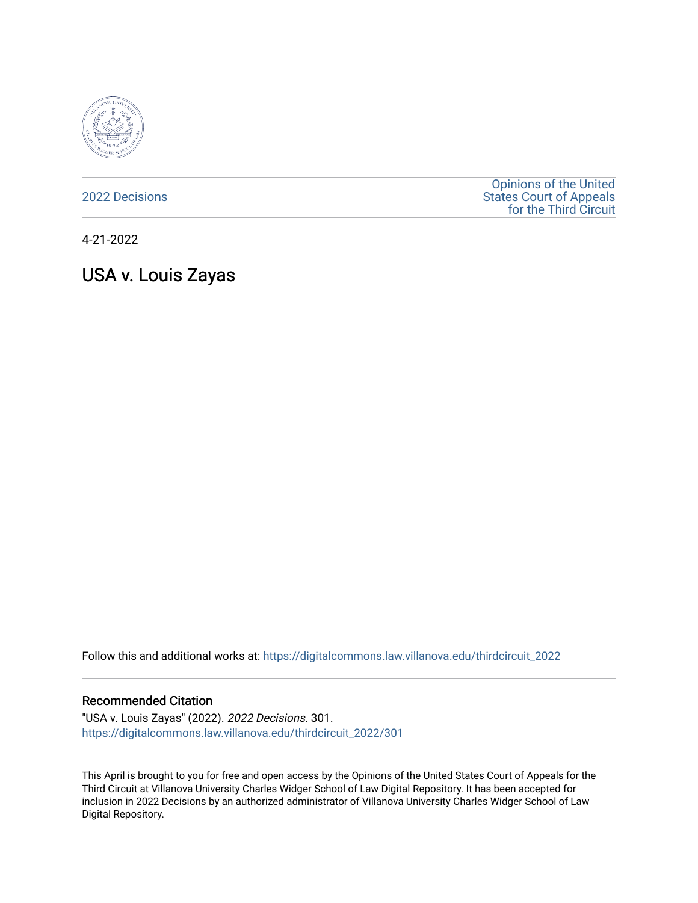

[2022 Decisions](https://digitalcommons.law.villanova.edu/thirdcircuit_2022)

[Opinions of the United](https://digitalcommons.law.villanova.edu/thirdcircuit)  [States Court of Appeals](https://digitalcommons.law.villanova.edu/thirdcircuit)  [for the Third Circuit](https://digitalcommons.law.villanova.edu/thirdcircuit) 

4-21-2022

USA v. Louis Zayas

Follow this and additional works at: [https://digitalcommons.law.villanova.edu/thirdcircuit\\_2022](https://digitalcommons.law.villanova.edu/thirdcircuit_2022?utm_source=digitalcommons.law.villanova.edu%2Fthirdcircuit_2022%2F301&utm_medium=PDF&utm_campaign=PDFCoverPages) 

#### Recommended Citation

"USA v. Louis Zayas" (2022). 2022 Decisions. 301. [https://digitalcommons.law.villanova.edu/thirdcircuit\\_2022/301](https://digitalcommons.law.villanova.edu/thirdcircuit_2022/301?utm_source=digitalcommons.law.villanova.edu%2Fthirdcircuit_2022%2F301&utm_medium=PDF&utm_campaign=PDFCoverPages)

This April is brought to you for free and open access by the Opinions of the United States Court of Appeals for the Third Circuit at Villanova University Charles Widger School of Law Digital Repository. It has been accepted for inclusion in 2022 Decisions by an authorized administrator of Villanova University Charles Widger School of Law Digital Repository.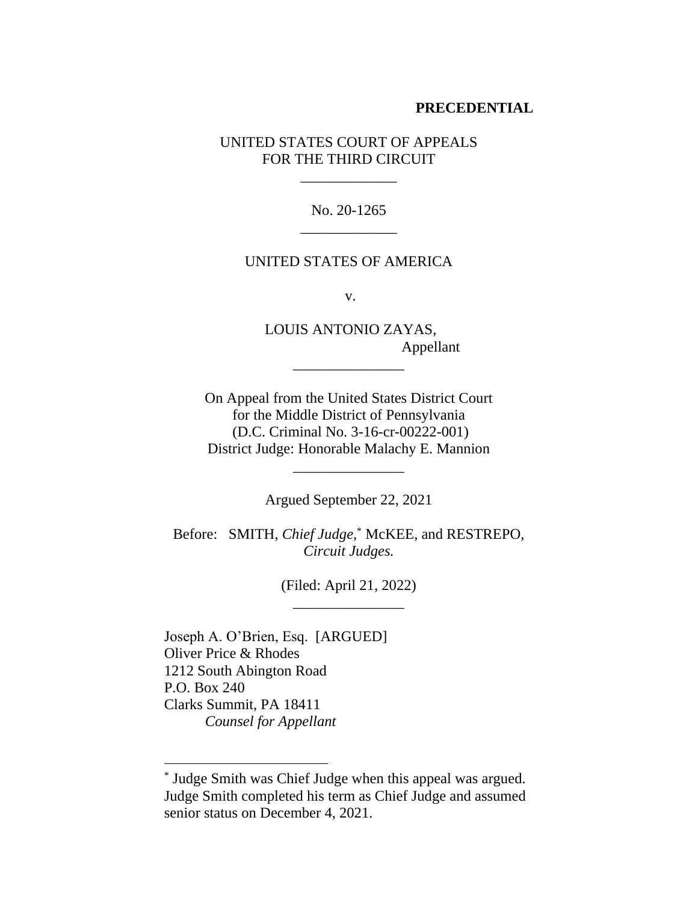### **PRECEDENTIAL**

UNITED STATES COURT OF APPEALS FOR THE THIRD CIRCUIT

\_\_\_\_\_\_\_\_\_\_\_\_\_

No. 20-1265 \_\_\_\_\_\_\_\_\_\_\_\_\_

#### UNITED STATES OF AMERICA

v.

LOUIS ANTONIO ZAYAS, Appellant

On Appeal from the United States District Court for the Middle District of Pennsylvania (D.C. Criminal No. 3-16-cr-00222-001) District Judge: Honorable Malachy E. Mannion

\_\_\_\_\_\_\_\_\_\_\_\_\_\_\_

Argued September 22, 2021

\_\_\_\_\_\_\_\_\_\_\_\_\_\_\_

Before: SMITH, *Chief Judge*, \* McKEE, and RESTREPO, *Circuit Judges.*

> (Filed: April 21, 2022) \_\_\_\_\_\_\_\_\_\_\_\_\_\_\_

Joseph A. O'Brien, Esq. [ARGUED] Oliver Price & Rhodes 1212 South Abington Road P.O. Box 240 Clarks Summit, PA 18411 *Counsel for Appellant*

<sup>\*</sup> Judge Smith was Chief Judge when this appeal was argued. Judge Smith completed his term as Chief Judge and assumed senior status on December 4, 2021.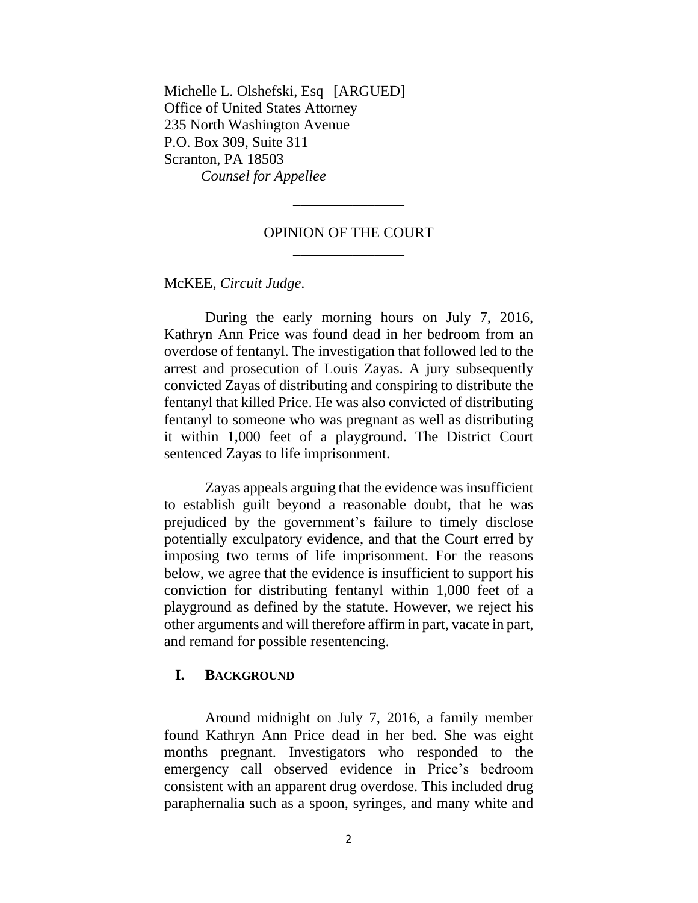Michelle L. Olshefski, Esq [ARGUED] Office of United States Attorney 235 North Washington Avenue P.O. Box 309, Suite 311 Scranton, PA 18503 *Counsel for Appellee*

## OPINION OF THE COURT \_\_\_\_\_\_\_\_\_\_\_\_\_\_\_

\_\_\_\_\_\_\_\_\_\_\_\_\_\_\_

McKEE, *Circuit Judge*.

During the early morning hours on July 7, 2016, Kathryn Ann Price was found dead in her bedroom from an overdose of fentanyl. The investigation that followed led to the arrest and prosecution of Louis Zayas. A jury subsequently convicted Zayas of distributing and conspiring to distribute the fentanyl that killed Price. He was also convicted of distributing fentanyl to someone who was pregnant as well as distributing it within 1,000 feet of a playground. The District Court sentenced Zayas to life imprisonment.

Zayas appeals arguing that the evidence was insufficient to establish guilt beyond a reasonable doubt, that he was prejudiced by the government's failure to timely disclose potentially exculpatory evidence, and that the Court erred by imposing two terms of life imprisonment. For the reasons below, we agree that the evidence is insufficient to support his conviction for distributing fentanyl within 1,000 feet of a playground as defined by the statute. However, we reject his other arguments and will therefore affirm in part, vacate in part, and remand for possible resentencing.

## **I. BACKGROUND**

Around midnight on July 7, 2016, a family member found Kathryn Ann Price dead in her bed. She was eight months pregnant. Investigators who responded to the emergency call observed evidence in Price's bedroom consistent with an apparent drug overdose. This included drug paraphernalia such as a spoon, syringes, and many white and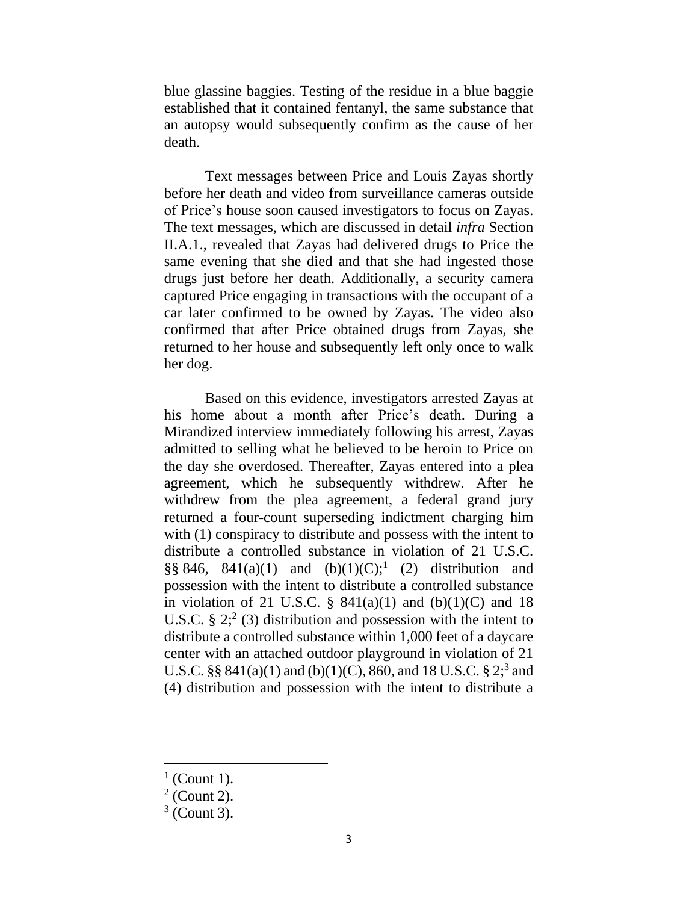blue glassine baggies. Testing of the residue in a blue baggie established that it contained fentanyl, the same substance that an autopsy would subsequently confirm as the cause of her death.

Text messages between Price and Louis Zayas shortly before her death and video from surveillance cameras outside of Price's house soon caused investigators to focus on Zayas. The text messages, which are discussed in detail *infra* Section II.A.1., revealed that Zayas had delivered drugs to Price the same evening that she died and that she had ingested those drugs just before her death. Additionally, a security camera captured Price engaging in transactions with the occupant of a car later confirmed to be owned by Zayas. The video also confirmed that after Price obtained drugs from Zayas, she returned to her house and subsequently left only once to walk her dog.

Based on this evidence, investigators arrested Zayas at his home about a month after Price's death. During a Mirandized interview immediately following his arrest, Zayas admitted to selling what he believed to be heroin to Price on the day she overdosed. Thereafter, Zayas entered into a plea agreement, which he subsequently withdrew. After he withdrew from the plea agreement, a federal grand jury returned a four-count superseding indictment charging him with (1) conspiracy to distribute and possess with the intent to distribute a controlled substance in violation of 21 U.S.C.  $\S § 846, 841(a)(1)$  and  $(b)(1)(C);$ <sup>1</sup> (2) distribution and possession with the intent to distribute a controlled substance in violation of 21 U.S.C.  $\S$  841(a)(1) and (b)(1)(C) and 18 U.S.C.  $\S 2$ ;  $\S 2$  (3) distribution and possession with the intent to distribute a controlled substance within 1,000 feet of a daycare center with an attached outdoor playground in violation of 21 U.S.C. §§ 841(a)(1) and (b)(1)(C), 860, and 18 U.S.C. § 2;<sup>3</sup> and (4) distribution and possession with the intent to distribute a

 $<sup>1</sup>$  (Count 1).</sup>

 $2$  (Count 2).

 $3$  (Count 3).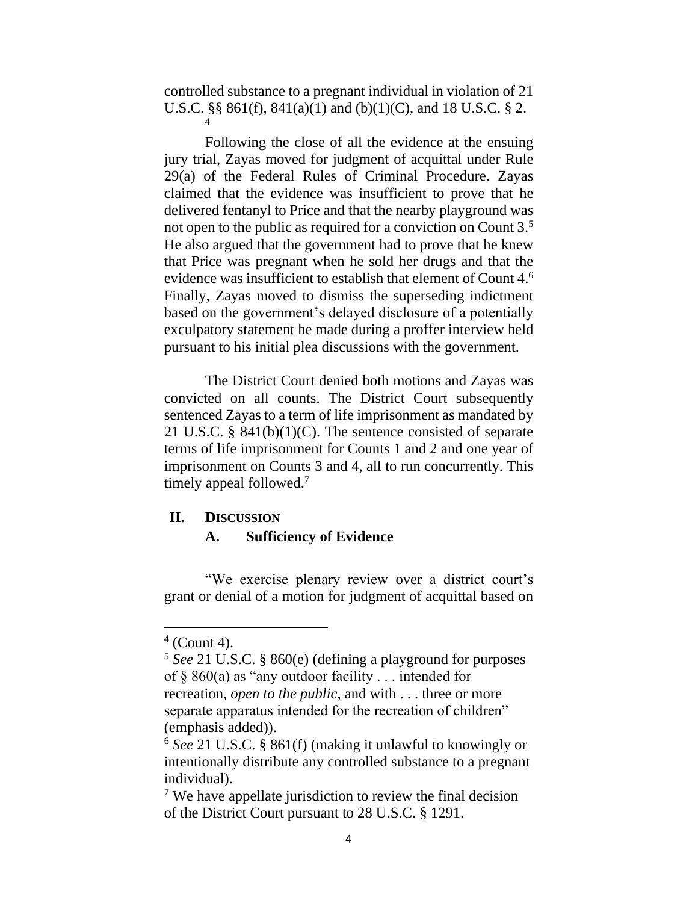controlled substance to a pregnant individual in violation of 21 U.S.C. §§ 861(f), 841(a)(1) and (b)(1)(C), and 18 U.S.C. § 2. 4

Following the close of all the evidence at the ensuing jury trial, Zayas moved for judgment of acquittal under Rule 29(a) of the Federal Rules of Criminal Procedure. Zayas claimed that the evidence was insufficient to prove that he delivered fentanyl to Price and that the nearby playground was not open to the public as required for a conviction on Count 3.<sup>5</sup> He also argued that the government had to prove that he knew that Price was pregnant when he sold her drugs and that the evidence was insufficient to establish that element of Count 4. 6 Finally, Zayas moved to dismiss the superseding indictment based on the government's delayed disclosure of a potentially exculpatory statement he made during a proffer interview held pursuant to his initial plea discussions with the government.

The District Court denied both motions and Zayas was convicted on all counts. The District Court subsequently sentenced Zayas to a term of life imprisonment as mandated by 21 U.S.C. § 841(b)(1)(C). The sentence consisted of separate terms of life imprisonment for Counts 1 and 2 and one year of imprisonment on Counts 3 and 4, all to run concurrently. This timely appeal followed.<sup>7</sup>

## **II. DISCUSSION**

# **A. Sufficiency of Evidence**

"We exercise plenary review over a district court's grant or denial of a motion for judgment of acquittal based on

 $4$  (Count 4).

<sup>5</sup> *See* 21 U.S.C. § 860(e) (defining a playground for purposes of  $\S$  860(a) as "any outdoor facility . . . intended for recreation, *open to the public*, and with . . . three or more

separate apparatus intended for the recreation of children" (emphasis added)).

<sup>6</sup> *See* 21 U.S.C. § 861(f) (making it unlawful to knowingly or intentionally distribute any controlled substance to a pregnant individual).

<sup>&</sup>lt;sup>7</sup> We have appellate jurisdiction to review the final decision of the District Court pursuant to 28 U.S.C. § 1291.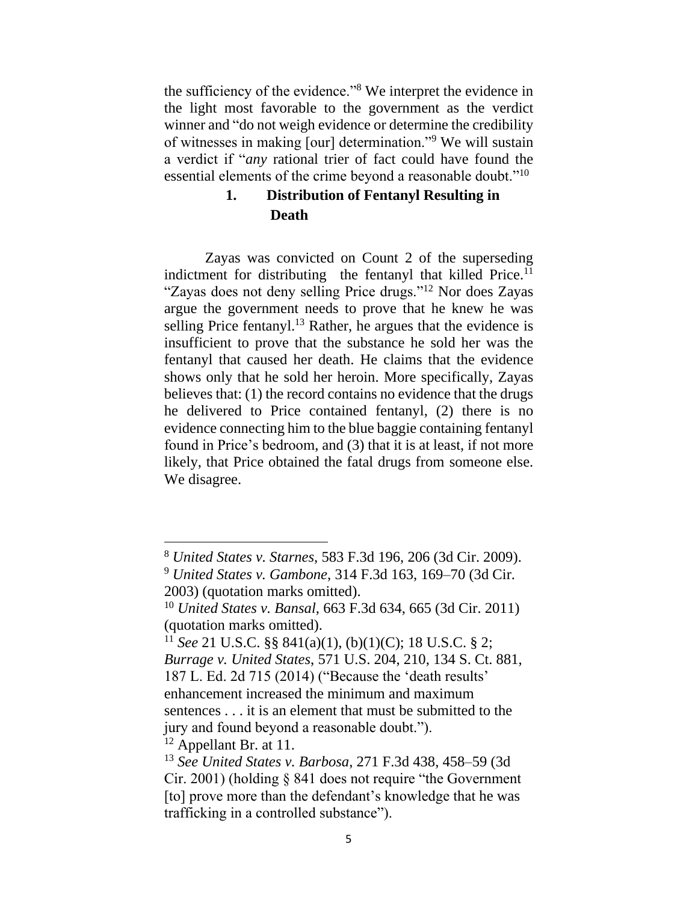the sufficiency of the evidence."<sup>8</sup> We interpret the evidence in the light most favorable to the government as the verdict winner and "do not weigh evidence or determine the credibility of witnesses in making [our] determination."<sup>9</sup> We will sustain a verdict if "*any* rational trier of fact could have found the essential elements of the crime beyond a reasonable doubt."<sup>10</sup>

# **1. Distribution of Fentanyl Resulting in Death**

Zayas was convicted on Count 2 of the superseding indictment for distributing the fentanyl that killed Price. $<sup>11</sup>$ </sup> "Zayas does not deny selling Price drugs."<sup>12</sup> Nor does Zayas argue the government needs to prove that he knew he was selling Price fentanyl.<sup>13</sup> Rather, he argues that the evidence is insufficient to prove that the substance he sold her was the fentanyl that caused her death. He claims that the evidence shows only that he sold her heroin. More specifically, Zayas believes that: (1) the record contains no evidence that the drugs he delivered to Price contained fentanyl, (2) there is no evidence connecting him to the blue baggie containing fentanyl found in Price's bedroom, and (3) that it is at least, if not more likely, that Price obtained the fatal drugs from someone else. We disagree.

 $12$  Appellant Br. at 11.

<sup>8</sup> *United States v. Starnes*, 583 F.3d 196, 206 (3d Cir. 2009).

<sup>9</sup> *United States v. Gambone*, 314 F.3d 163, 169–70 (3d Cir. 2003) (quotation marks omitted).

<sup>10</sup> *United States v. Bansal*, 663 F.3d 634, 665 (3d Cir. 2011) (quotation marks omitted).

<sup>11</sup> *See* 21 U.S.C. §§ 841(a)(1), (b)(1)(C); 18 U.S.C. § 2; *Burrage v. United States*, 571 U.S. 204, 210, 134 S. Ct. 881, 187 L. Ed. 2d 715 (2014) ("Because the 'death results' enhancement increased the minimum and maximum sentences . . . it is an element that must be submitted to the jury and found beyond a reasonable doubt.").

<sup>13</sup> *See United States v. Barbosa*, 271 F.3d 438, 458–59 (3d Cir. 2001) (holding § 841 does not require "the Government [to] prove more than the defendant's knowledge that he was trafficking in a controlled substance").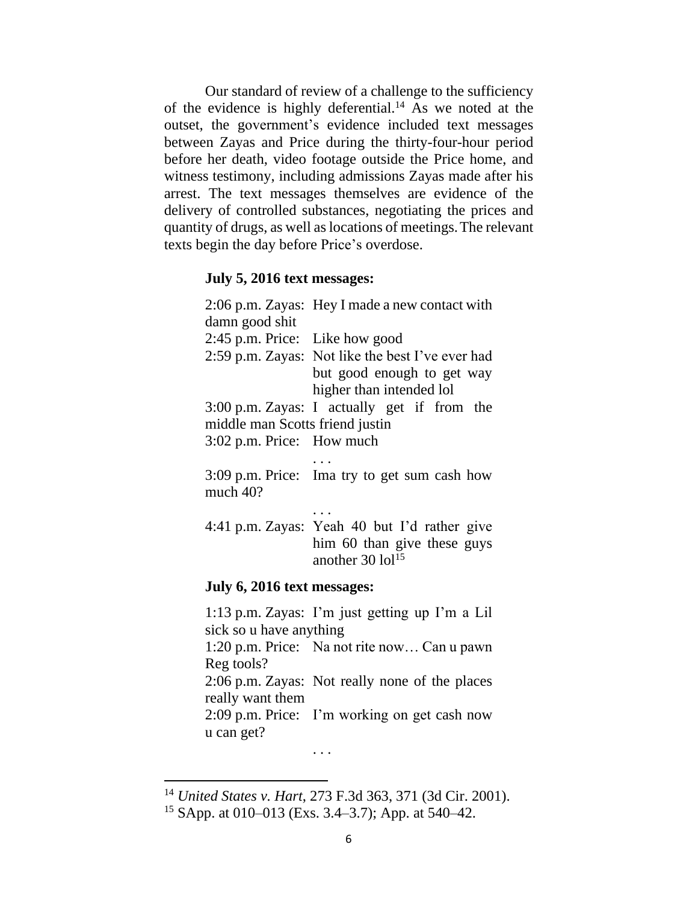Our standard of review of a challenge to the sufficiency of the evidence is highly deferential.<sup>14</sup> As we noted at the outset, the government's evidence included text messages between Zayas and Price during the thirty-four-hour period before her death, video footage outside the Price home, and witness testimony, including admissions Zayas made after his arrest. The text messages themselves are evidence of the delivery of controlled substances, negotiating the prices and quantity of drugs, as well as locations of meetings.The relevant texts begin the day before Price's overdose.

### **July 5, 2016 text messages:**

|                                 | 2:06 p.m. Zayas: Hey I made a new contact with                                                                                                                 |
|---------------------------------|----------------------------------------------------------------------------------------------------------------------------------------------------------------|
| damn good shit                  |                                                                                                                                                                |
| 2:45 p.m. Price: Like how good  |                                                                                                                                                                |
|                                 | 2:59 p.m. Zayas: Not like the best I've ever had                                                                                                               |
|                                 | but good enough to get way                                                                                                                                     |
|                                 | higher than intended lol                                                                                                                                       |
|                                 | 3:00 p.m. Zayas: I actually get if from the                                                                                                                    |
| middle man Scotts friend justin |                                                                                                                                                                |
| 3:02 p.m. Price: How much       |                                                                                                                                                                |
|                                 |                                                                                                                                                                |
| much 40?                        | 3:09 p.m. Price: Ima try to get sum cash how                                                                                                                   |
|                                 |                                                                                                                                                                |
|                                 | 4:41 p.m. Zayas: Yeah 40 but I'd rather give<br>him 60 than give these guys<br>another $30$ $10$ <sup>15</sup>                                                 |
| July 6, 2016 text messages:     |                                                                                                                                                                |
| sick so u have anything         | 1:13 p.m. Zayas: I'm just getting up I'm a Lil                                                                                                                 |
|                                 | $1.20 \text{ p m}$ $\Gamma$ $\text{m}$ $\Omega$ $\text{m}$ $\Omega$ $\text{m}$ $\Omega$ $\text{m}$ $\Omega$ $\text{m}$ $\Omega$ $\text{m}$ $\Omega$ $\text{m}$ |

1:20 p.m. Price: Na not rite now… Can u pawn Reg tools?

2:06 p.m. Zayas: Not really none of the places really want them

2:09 p.m. Price: I'm working on get cash now u can get?

. . .

<sup>14</sup> *United States v. Hart*, 273 F.3d 363, 371 (3d Cir. 2001). <sup>15</sup> SApp. at 010–013 (Exs. 3.4–3.7); App. at 540–42.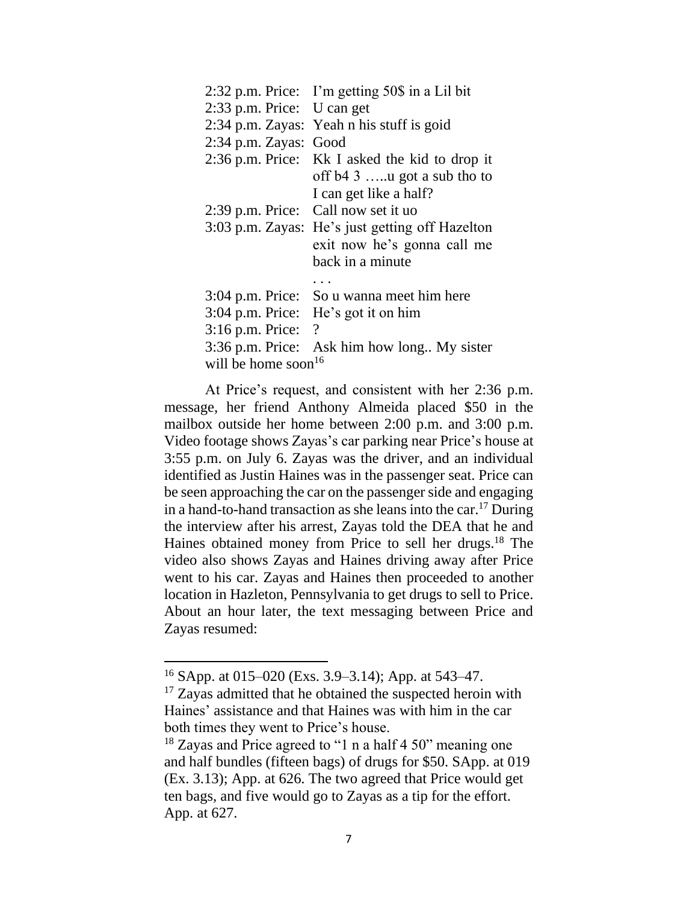|                            | 2:32 p.m. Price: I'm getting 50\$ in a Lil bit |  |
|----------------------------|------------------------------------------------|--|
| 2:33 p.m. Price: U can get |                                                |  |
|                            | 2:34 p.m. Zayas: Yeah n his stuff is goid      |  |
| $2:34$ p.m. Zayas:         | Good                                           |  |
|                            | 2:36 p.m. Price: Kk I asked the kid to drop it |  |
|                            | off $b43$ y got a sub tho to                   |  |
|                            | I can get like a half?                         |  |
| $2:39$ p.m. Price:         | Call now set it uo                             |  |
| $3:03$ p.m. Zayas:         | He's just getting off Hazelton                 |  |
|                            | exit now he's gonna call me                    |  |
|                            | back in a minute                               |  |
|                            |                                                |  |
| $3:04$ p.m. Price:         | So u wanna meet him here                       |  |
| $3:04$ p.m. Price:         | He's got it on him                             |  |
| 3:16 p.m. Price:           | $\gamma$                                       |  |
| 3:36 p.m. Price:           | Ask him how long My sister                     |  |
| 16<br>will be home soon    |                                                |  |

At Price's request, and consistent with her 2:36 p.m. message, her friend Anthony Almeida placed \$50 in the mailbox outside her home between 2:00 p.m. and 3:00 p.m. Video footage shows Zayas's car parking near Price's house at 3:55 p.m. on July 6. Zayas was the driver, and an individual identified as Justin Haines was in the passenger seat. Price can be seen approaching the car on the passenger side and engaging in a hand-to-hand transaction as she leans into the car.<sup>17</sup> During the interview after his arrest, Zayas told the DEA that he and Haines obtained money from Price to sell her drugs.<sup>18</sup> The video also shows Zayas and Haines driving away after Price went to his car. Zayas and Haines then proceeded to another location in Hazleton, Pennsylvania to get drugs to sell to Price. About an hour later, the text messaging between Price and Zayas resumed:

<sup>16</sup> SApp. at 015–020 (Exs. 3.9–3.14); App. at 543–47.

 $17$  Zayas admitted that he obtained the suspected heroin with Haines' assistance and that Haines was with him in the car both times they went to Price's house.

 $18$  Zayas and Price agreed to "1 n a half 4 50" meaning one and half bundles (fifteen bags) of drugs for \$50. SApp. at 019 (Ex. 3.13); App. at 626. The two agreed that Price would get ten bags, and five would go to Zayas as a tip for the effort. App. at 627.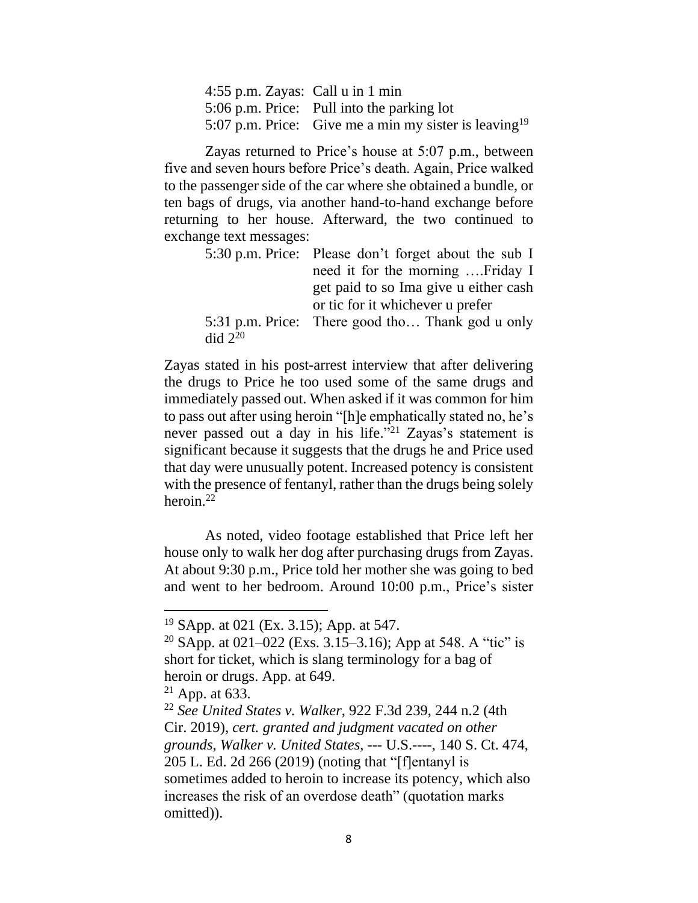4:55 p.m. Zayas: Call u in 1 min 5:06 p.m. Price: Pull into the parking lot 5:07 p.m. Price: Give me a min my sister is leaving<sup>19</sup>

Zayas returned to Price's house at 5:07 p.m., between five and seven hours before Price's death. Again, Price walked to the passenger side of the car where she obtained a bundle, or ten bags of drugs, via another hand-to-hand exchange before returning to her house. Afterward, the two continued to exchange text messages:

|                      | 5:30 p.m. Price: Please don't forget about the sub I |
|----------------------|------------------------------------------------------|
|                      | need it for the morning  Friday I                    |
|                      | get paid to so Ima give u either cash                |
|                      | or tic for it whichever u prefer                     |
|                      | 5:31 p.m. Price: There good tho Thank god u only     |
| $\text{did } 2^{20}$ |                                                      |

Zayas stated in his post-arrest interview that after delivering the drugs to Price he too used some of the same drugs and immediately passed out. When asked if it was common for him to pass out after using heroin "[h]e emphatically stated no, he's never passed out a day in his life."<sup>21</sup> Zayas's statement is significant because it suggests that the drugs he and Price used that day were unusually potent. Increased potency is consistent with the presence of fentanyl, rather than the drugs being solely heroin. 22

As noted, video footage established that Price left her house only to walk her dog after purchasing drugs from Zayas. At about 9:30 p.m., Price told her mother she was going to bed and went to her bedroom. Around 10:00 p.m., Price's sister

<sup>19</sup> SApp. at 021 (Ex. 3.15); App. at 547.

<sup>&</sup>lt;sup>20</sup> SApp. at 021–022 (Exs. 3.15–3.16); App at 548. A "tic" is short for ticket, which is slang terminology for a bag of heroin or drugs. App. at 649.

 $21$  App. at 633.

<sup>22</sup> *See United States v. Walker*, 922 F.3d 239, 244 n.2 (4th Cir. 2019), *cert. granted and judgment vacated on other grounds*, *Walker v. United States*, --- U.S.----, 140 S. Ct. 474, 205 L. Ed. 2d 266 (2019) (noting that "[f]entanyl is sometimes added to heroin to increase its potency, which also increases the risk of an overdose death" (quotation marks omitted)).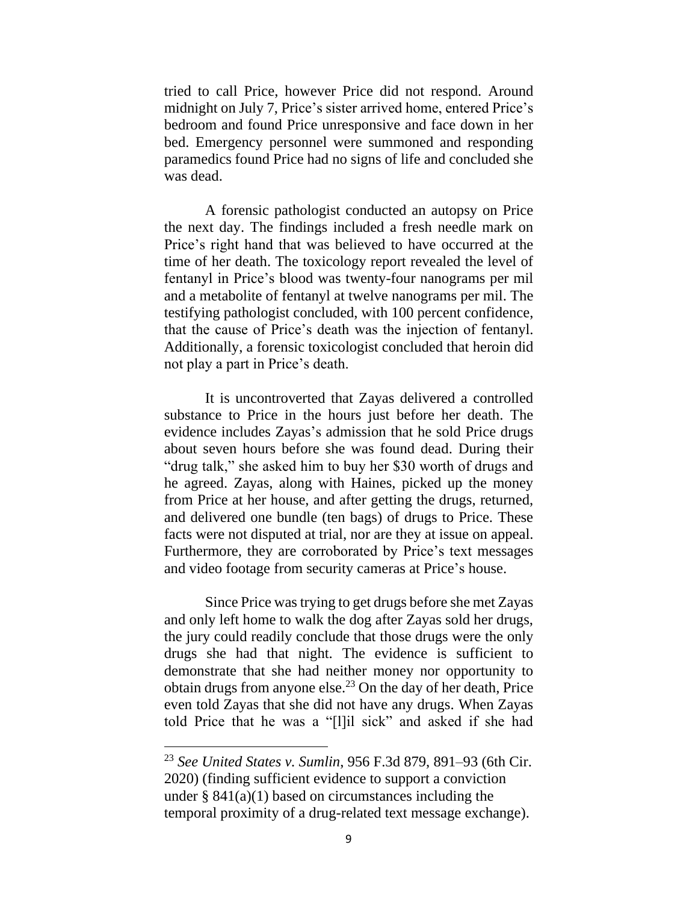tried to call Price, however Price did not respond. Around midnight on July 7, Price's sister arrived home, entered Price's bedroom and found Price unresponsive and face down in her bed. Emergency personnel were summoned and responding paramedics found Price had no signs of life and concluded she was dead.

A forensic pathologist conducted an autopsy on Price the next day. The findings included a fresh needle mark on Price's right hand that was believed to have occurred at the time of her death. The toxicology report revealed the level of fentanyl in Price's blood was twenty-four nanograms per mil and a metabolite of fentanyl at twelve nanograms per mil. The testifying pathologist concluded, with 100 percent confidence, that the cause of Price's death was the injection of fentanyl. Additionally, a forensic toxicologist concluded that heroin did not play a part in Price's death.

It is uncontroverted that Zayas delivered a controlled substance to Price in the hours just before her death. The evidence includes Zayas's admission that he sold Price drugs about seven hours before she was found dead. During their "drug talk," she asked him to buy her \$30 worth of drugs and he agreed. Zayas, along with Haines, picked up the money from Price at her house, and after getting the drugs, returned, and delivered one bundle (ten bags) of drugs to Price. These facts were not disputed at trial, nor are they at issue on appeal. Furthermore, they are corroborated by Price's text messages and video footage from security cameras at Price's house.

Since Price was trying to get drugs before she met Zayas and only left home to walk the dog after Zayas sold her drugs, the jury could readily conclude that those drugs were the only drugs she had that night. The evidence is sufficient to demonstrate that she had neither money nor opportunity to obtain drugs from anyone else. <sup>23</sup> On the day of her death, Price even told Zayas that she did not have any drugs. When Zayas told Price that he was a "[l]il sick" and asked if she had

<sup>23</sup> *See United States v. Sumlin*, 956 F.3d 879, 891–93 (6th Cir. 2020) (finding sufficient evidence to support a conviction under  $\S 841(a)(1)$  based on circumstances including the temporal proximity of a drug-related text message exchange).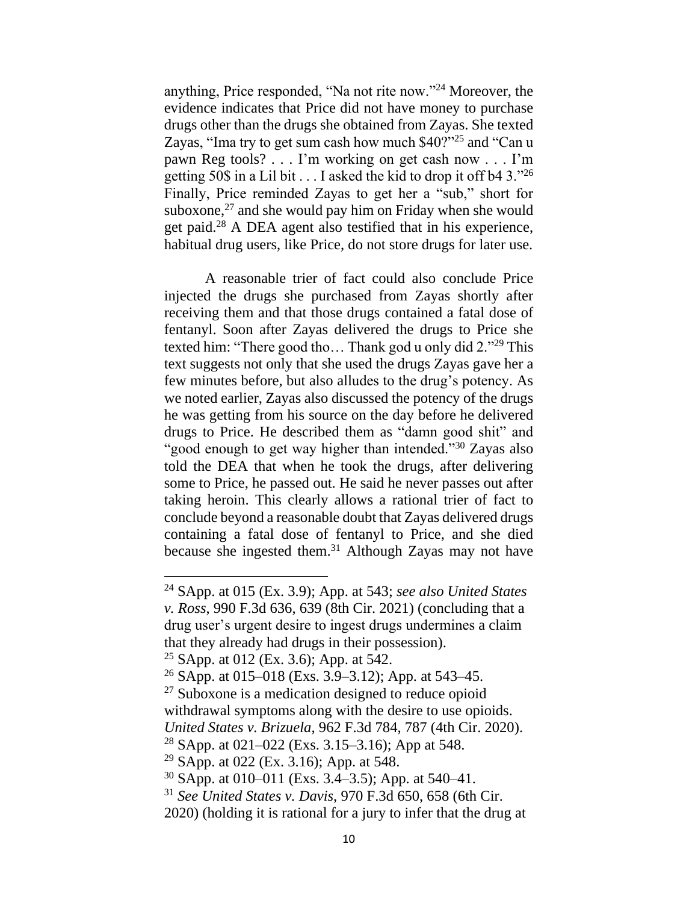anything, Price responded, "Na not rite now."<sup>24</sup> Moreover, the evidence indicates that Price did not have money to purchase drugs other than the drugs she obtained from Zayas. She texted Zayas, "Ima try to get sum cash how much \$40?"<sup>25</sup> and "Can u pawn Reg tools? . . . I'm working on get cash now . . . I'm getting 50\$ in a Lil bit  $\dots$  I asked the kid to drop it off b4 3.<sup>"26</sup> Finally, Price reminded Zayas to get her a "sub," short for suboxone, $27$  and she would pay him on Friday when she would get paid.<sup>28</sup> A DEA agent also testified that in his experience, habitual drug users, like Price, do not store drugs for later use.

A reasonable trier of fact could also conclude Price injected the drugs she purchased from Zayas shortly after receiving them and that those drugs contained a fatal dose of fentanyl. Soon after Zayas delivered the drugs to Price she texted him: "There good tho… Thank god u only did 2."<sup>29</sup> This text suggests not only that she used the drugs Zayas gave her a few minutes before, but also alludes to the drug's potency. As we noted earlier, Zayas also discussed the potency of the drugs he was getting from his source on the day before he delivered drugs to Price. He described them as "damn good shit" and "good enough to get way higher than intended."<sup>30</sup> Zayas also told the DEA that when he took the drugs, after delivering some to Price, he passed out. He said he never passes out after taking heroin. This clearly allows a rational trier of fact to conclude beyond a reasonable doubt that Zayas delivered drugs containing a fatal dose of fentanyl to Price, and she died because she ingested them.<sup>31</sup> Although Zayas may not have

<sup>24</sup> SApp. at 015 (Ex. 3.9); App. at 543; *see also United States v. Ross*, 990 F.3d 636, 639 (8th Cir. 2021) (concluding that a drug user's urgent desire to ingest drugs undermines a claim that they already had drugs in their possession).

<sup>&</sup>lt;sup>25</sup> SApp. at 012 (Ex. 3.6); App. at 542.

<sup>26</sup> SApp. at 015–018 (Exs. 3.9–3.12); App. at 543–45.

<sup>27</sup> Suboxone is a medication designed to reduce opioid

withdrawal symptoms along with the desire to use opioids. *United States v. Brizuela*, 962 F.3d 784, 787 (4th Cir. 2020).

<sup>&</sup>lt;sup>28</sup> SApp. at 021–022 (Exs. 3.15–3.16); App at 548.

<sup>29</sup> SApp. at 022 (Ex. 3.16); App. at 548.

 $30$  SApp. at 010–011 (Exs. 3.4–3.5); App. at 540–41.

<sup>31</sup> *See United States v. Davis*, 970 F.3d 650, 658 (6th Cir.

<sup>2020) (</sup>holding it is rational for a jury to infer that the drug at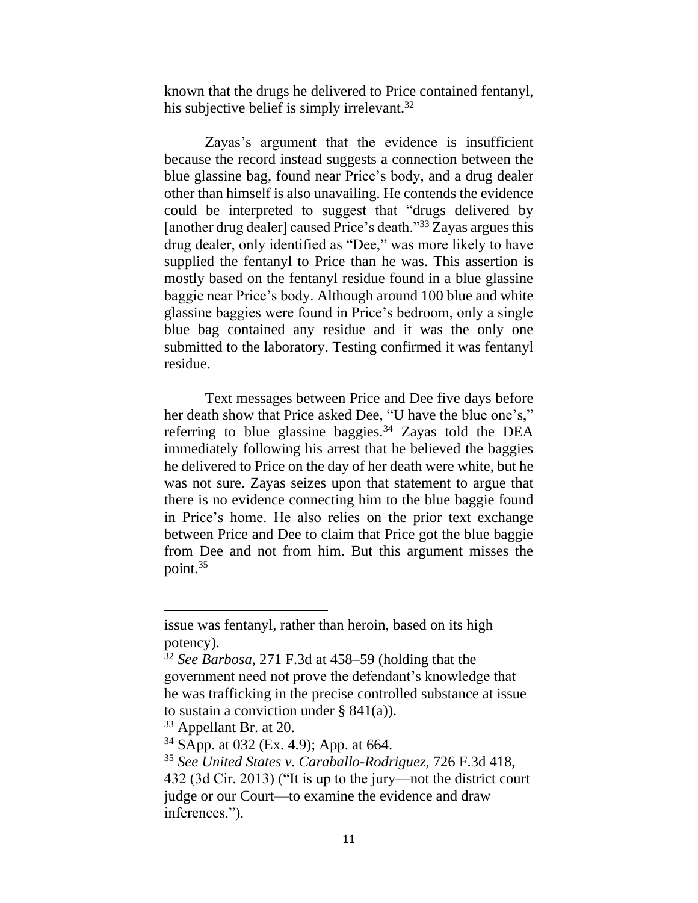known that the drugs he delivered to Price contained fentanyl, his subjective belief is simply irrelevant.<sup>32</sup>

Zayas's argument that the evidence is insufficient because the record instead suggests a connection between the blue glassine bag, found near Price's body, and a drug dealer other than himself is also unavailing. He contends the evidence could be interpreted to suggest that "drugs delivered by [another drug dealer] caused Price's death."<sup>33</sup> Zayas argues this drug dealer, only identified as "Dee," was more likely to have supplied the fentanyl to Price than he was. This assertion is mostly based on the fentanyl residue found in a blue glassine baggie near Price's body. Although around 100 blue and white glassine baggies were found in Price's bedroom, only a single blue bag contained any residue and it was the only one submitted to the laboratory. Testing confirmed it was fentanyl residue.

Text messages between Price and Dee five days before her death show that Price asked Dee, "U have the blue one's," referring to blue glassine baggies.<sup>34</sup> Zayas told the DEA immediately following his arrest that he believed the baggies he delivered to Price on the day of her death were white, but he was not sure. Zayas seizes upon that statement to argue that there is no evidence connecting him to the blue baggie found in Price's home. He also relies on the prior text exchange between Price and Dee to claim that Price got the blue baggie from Dee and not from him. But this argument misses the point. 35

issue was fentanyl, rather than heroin, based on its high potency).

<sup>32</sup> *See Barbosa*, 271 F.3d at 458–59 (holding that the government need not prove the defendant's knowledge that he was trafficking in the precise controlled substance at issue to sustain a conviction under  $\S 841(a)$ ).

<sup>33</sup> Appellant Br. at 20.

<sup>34</sup> SApp. at 032 (Ex. 4.9); App. at 664.

<sup>35</sup> *See United States v. Caraballo-Rodriguez*, 726 F.3d 418,

<sup>432 (3</sup>d Cir. 2013) ("It is up to the jury—not the district court judge or our Court—to examine the evidence and draw inferences.").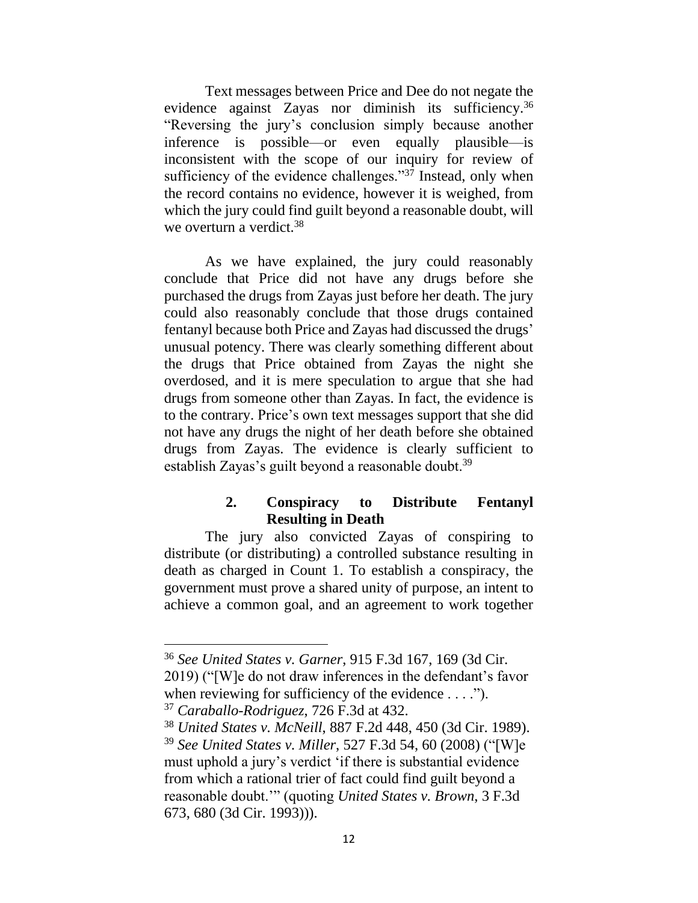Text messages between Price and Dee do not negate the evidence against Zayas nor diminish its sufficiency.<sup>36</sup> "Reversing the jury's conclusion simply because another inference is possible—or even equally plausible—is inconsistent with the scope of our inquiry for review of sufficiency of the evidence challenges." $3<sup>7</sup>$  Instead, only when the record contains no evidence, however it is weighed, from which the jury could find guilt beyond a reasonable doubt, will we overturn a verdict.<sup>38</sup>

As we have explained, the jury could reasonably conclude that Price did not have any drugs before she purchased the drugs from Zayas just before her death. The jury could also reasonably conclude that those drugs contained fentanyl because both Price and Zayas had discussed the drugs' unusual potency. There was clearly something different about the drugs that Price obtained from Zayas the night she overdosed, and it is mere speculation to argue that she had drugs from someone other than Zayas. In fact, the evidence is to the contrary. Price's own text messages support that she did not have any drugs the night of her death before she obtained drugs from Zayas. The evidence is clearly sufficient to establish Zayas's guilt beyond a reasonable doubt.<sup>39</sup>

# **2. Conspiracy to Distribute Fentanyl Resulting in Death**

The jury also convicted Zayas of conspiring to distribute (or distributing) a controlled substance resulting in death as charged in Count 1. To establish a conspiracy, the government must prove a shared unity of purpose, an intent to achieve a common goal, and an agreement to work together

<sup>36</sup> *See United States v. Garner*, 915 F.3d 167, 169 (3d Cir. 2019) ("[W]e do not draw inferences in the defendant's favor when reviewing for sufficiency of the evidence  $\dots$ .").

<sup>37</sup> *Caraballo-Rodriguez*, 726 F.3d at 432.

<sup>38</sup> *United States v. McNeill*, 887 F.2d 448, 450 (3d Cir. 1989). <sup>39</sup> *See United States v. Miller*, 527 F.3d 54, 60 (2008) ("[W]e must uphold a jury's verdict 'if there is substantial evidence from which a rational trier of fact could find guilt beyond a reasonable doubt.'" (quoting *United States v. Brown*, 3 F.3d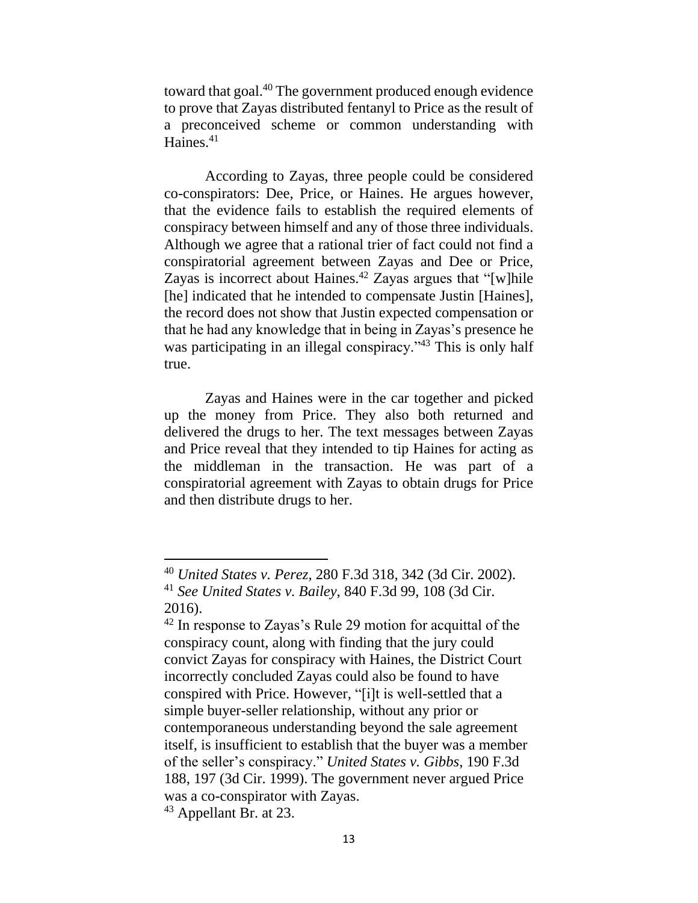toward that goal.<sup>40</sup> The government produced enough evidence to prove that Zayas distributed fentanyl to Price as the result of a preconceived scheme or common understanding with Haines.<sup>41</sup>

According to Zayas, three people could be considered co-conspirators: Dee, Price, or Haines. He argues however, that the evidence fails to establish the required elements of conspiracy between himself and any of those three individuals. Although we agree that a rational trier of fact could not find a conspiratorial agreement between Zayas and Dee or Price, Zayas is incorrect about Haines.<sup>42</sup> Zayas argues that "[w]hile [he] indicated that he intended to compensate Justin [Haines], the record does not show that Justin expected compensation or that he had any knowledge that in being in Zayas's presence he was participating in an illegal conspiracy."<sup>43</sup> This is only half true.

Zayas and Haines were in the car together and picked up the money from Price. They also both returned and delivered the drugs to her. The text messages between Zayas and Price reveal that they intended to tip Haines for acting as the middleman in the transaction. He was part of a conspiratorial agreement with Zayas to obtain drugs for Price and then distribute drugs to her.

<sup>40</sup> *United States v. Perez*, 280 F.3d 318, 342 (3d Cir. 2002).

<sup>41</sup> *See United States v. Bailey*, 840 F.3d 99, 108 (3d Cir. 2016).

<sup>&</sup>lt;sup>42</sup> In response to Zayas's Rule 29 motion for acquittal of the conspiracy count, along with finding that the jury could convict Zayas for conspiracy with Haines, the District Court incorrectly concluded Zayas could also be found to have conspired with Price. However, "[i]t is well-settled that a simple buyer-seller relationship, without any prior or contemporaneous understanding beyond the sale agreement itself, is insufficient to establish that the buyer was a member of the seller's conspiracy." *United States v. Gibbs*, 190 F.3d 188, 197 (3d Cir. 1999). The government never argued Price was a co-conspirator with Zayas.

<sup>&</sup>lt;sup>43</sup> Appellant Br. at 23.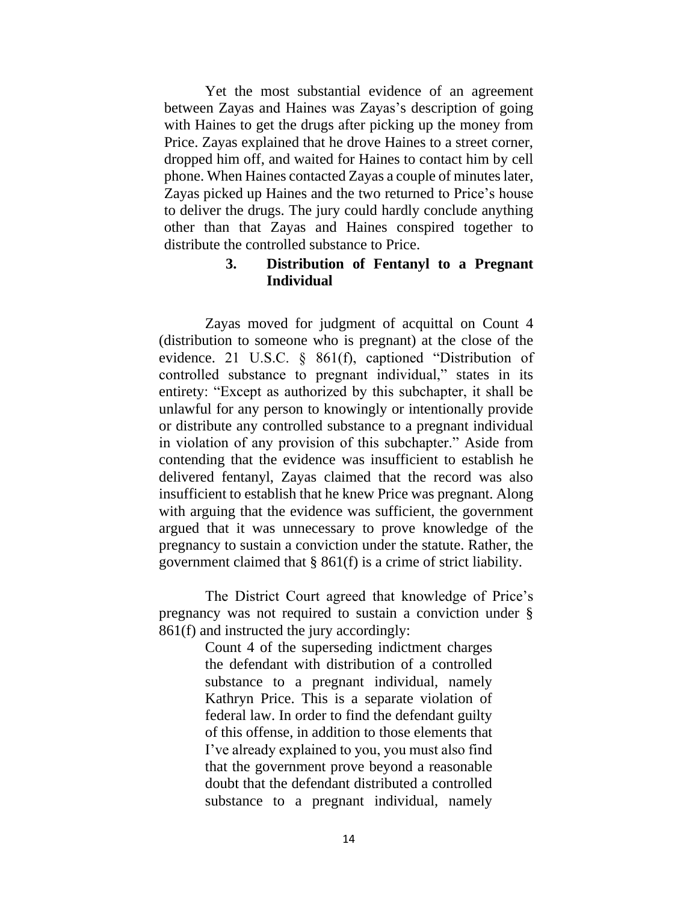Yet the most substantial evidence of an agreement between Zayas and Haines was Zayas's description of going with Haines to get the drugs after picking up the money from Price. Zayas explained that he drove Haines to a street corner, dropped him off, and waited for Haines to contact him by cell phone. When Haines contacted Zayas a couple of minutes later, Zayas picked up Haines and the two returned to Price's house to deliver the drugs. The jury could hardly conclude anything other than that Zayas and Haines conspired together to distribute the controlled substance to Price.

# **3. Distribution of Fentanyl to a Pregnant Individual**

Zayas moved for judgment of acquittal on Count 4 (distribution to someone who is pregnant) at the close of the evidence. 21 U.S.C. § 861(f), captioned "Distribution of controlled substance to pregnant individual," states in its entirety: "Except as authorized by this subchapter, it shall be unlawful for any person to knowingly or intentionally provide or distribute any controlled substance to a pregnant individual in violation of any provision of this subchapter." Aside from contending that the evidence was insufficient to establish he delivered fentanyl, Zayas claimed that the record was also insufficient to establish that he knew Price was pregnant. Along with arguing that the evidence was sufficient, the government argued that it was unnecessary to prove knowledge of the pregnancy to sustain a conviction under the statute. Rather, the government claimed that § 861(f) is a crime of strict liability.

The District Court agreed that knowledge of Price's pregnancy was not required to sustain a conviction under § 861(f) and instructed the jury accordingly:

> Count 4 of the superseding indictment charges the defendant with distribution of a controlled substance to a pregnant individual, namely Kathryn Price. This is a separate violation of federal law. In order to find the defendant guilty of this offense, in addition to those elements that I've already explained to you, you must also find that the government prove beyond a reasonable doubt that the defendant distributed a controlled substance to a pregnant individual, namely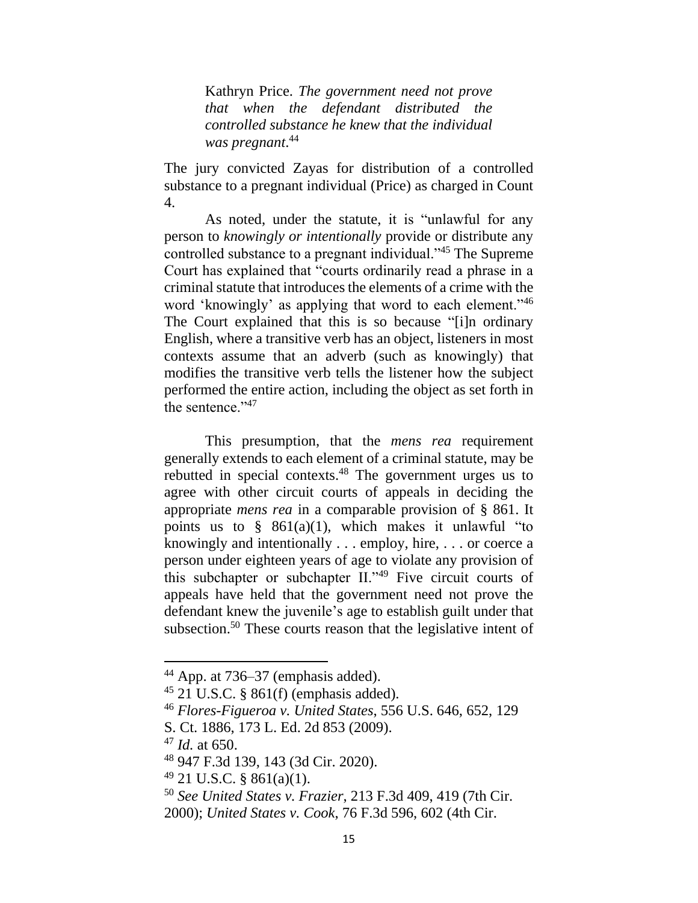Kathryn Price. *The government need not prove that when the defendant distributed the controlled substance he knew that the individual was pregnant*. 44

The jury convicted Zayas for distribution of a controlled substance to a pregnant individual (Price) as charged in Count 4.

As noted, under the statute, it is "unlawful for any person to *knowingly or intentionally* provide or distribute any controlled substance to a pregnant individual."<sup>45</sup> The Supreme Court has explained that "courts ordinarily read a phrase in a criminal statute that introduces the elements of a crime with the word 'knowingly' as applying that word to each element."<sup>46</sup> The Court explained that this is so because "[i]n ordinary English, where a transitive verb has an object, listeners in most contexts assume that an adverb (such as knowingly) that modifies the transitive verb tells the listener how the subject performed the entire action, including the object as set forth in the sentence."<sup>47</sup>

This presumption, that the *mens rea* requirement generally extends to each element of a criminal statute, may be rebutted in special contexts.<sup>48</sup> The government urges us to agree with other circuit courts of appeals in deciding the appropriate *mens rea* in a comparable provision of § 861. It points us to  $§$  861(a)(1), which makes it unlawful "to knowingly and intentionally . . . employ, hire, . . . or coerce a person under eighteen years of age to violate any provision of this subchapter or subchapter II."<sup>49</sup> Five circuit courts of appeals have held that the government need not prove the defendant knew the juvenile's age to establish guilt under that subsection.<sup>50</sup> These courts reason that the legislative intent of

<sup>44</sup> App. at 736–37 (emphasis added).

<sup>45</sup> 21 U.S.C. § 861(f) (emphasis added).

<sup>46</sup> *Flores-Figueroa v. United States*, 556 U.S. 646, 652, 129

S. Ct. 1886, 173 L. Ed. 2d 853 (2009).

<sup>47</sup> *Id.* at 650.

<sup>48</sup> 947 F.3d 139, 143 (3d Cir. 2020).

 $49$  21 U.S.C. § 861(a)(1).

<sup>50</sup> *See United States v. Frazier*, 213 F.3d 409, 419 (7th Cir. 2000); *United States v. Cook*, 76 F.3d 596, 602 (4th Cir.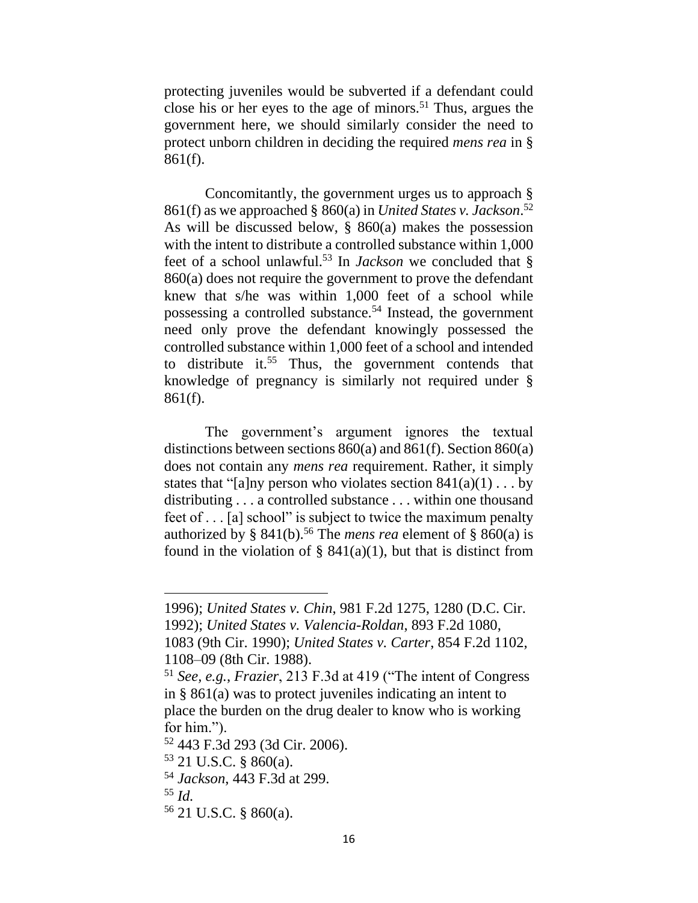protecting juveniles would be subverted if a defendant could close his or her eyes to the age of minors.<sup>51</sup> Thus, argues the government here, we should similarly consider the need to protect unborn children in deciding the required *mens rea* in § 861(f).

Concomitantly, the government urges us to approach § 861(f) as we approached § 860(a) in *United States v. Jackson*. 52 As will be discussed below,  $\S$  860(a) makes the possession with the intent to distribute a controlled substance within 1,000 feet of a school unlawful.<sup>53</sup> In *Jackson* we concluded that § 860(a) does not require the government to prove the defendant knew that s/he was within 1,000 feet of a school while possessing a controlled substance.<sup>54</sup> Instead, the government need only prove the defendant knowingly possessed the controlled substance within 1,000 feet of a school and intended to distribute it. <sup>55</sup> Thus, the government contends that knowledge of pregnancy is similarly not required under § 861(f).

The government's argument ignores the textual distinctions between sections 860(a) and 861(f). Section 860(a) does not contain any *mens rea* requirement. Rather, it simply states that "[a]ny person who violates section  $841(a)(1) \ldots$  by distributing . . . a controlled substance . . . within one thousand feet of . . . [a] school" is subject to twice the maximum penalty authorized by §  $841(b)$ .<sup>56</sup> The *mens rea* element of §  $860(a)$  is found in the violation of  $\S$  841(a)(1), but that is distinct from

<sup>1996);</sup> *United States v. Chin*, 981 F.2d 1275, 1280 (D.C. Cir. 1992); *United States v. Valencia-Roldan*, 893 F.2d 1080,

<sup>1083 (9</sup>th Cir. 1990); *United States v. Carter*, 854 F.2d 1102, 1108–09 (8th Cir. 1988).

<sup>51</sup> *See, e.g.*, *Frazier*, 213 F.3d at 419 ("The intent of Congress in § 861(a) was to protect juveniles indicating an intent to place the burden on the drug dealer to know who is working for him.").

<sup>52</sup> 443 F.3d 293 (3d Cir. 2006).

<sup>53</sup> 21 U.S.C. § 860(a).

<sup>54</sup> *Jackson*, 443 F.3d at 299.

<sup>55</sup> *Id.*

<sup>56</sup> 21 U.S.C. § 860(a).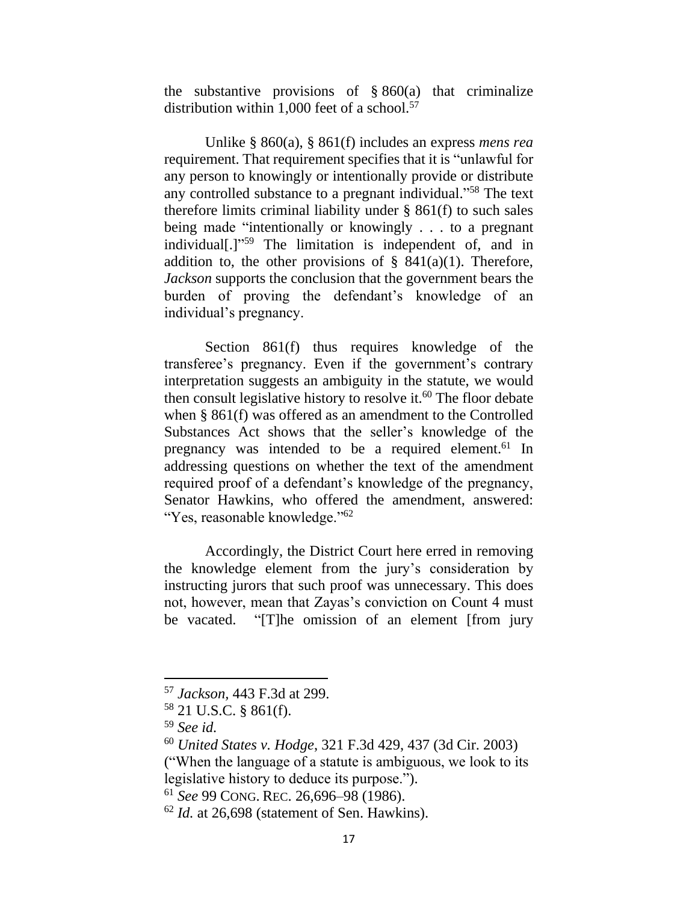the substantive provisions of  $§ 860(a)$  that criminalize distribution within 1,000 feet of a school.<sup>57</sup>

Unlike § 860(a), § 861(f) includes an express *mens rea* requirement. That requirement specifies that it is "unlawful for any person to knowingly or intentionally provide or distribute any controlled substance to a pregnant individual." <sup>58</sup> The text therefore limits criminal liability under  $\S$  861(f) to such sales being made "intentionally or knowingly . . . to a pregnant individual[.]" <sup>59</sup> The limitation is independent of, and in addition to, the other provisions of  $\S$  841(a)(1). Therefore, *Jackson* supports the conclusion that the government bears the burden of proving the defendant's knowledge of an individual's pregnancy.

Section 861(f) thus requires knowledge of the transferee's pregnancy. Even if the government's contrary interpretation suggests an ambiguity in the statute, we would then consult legislative history to resolve it. $60$  The floor debate when § 861(f) was offered as an amendment to the Controlled Substances Act shows that the seller's knowledge of the pregnancy was intended to be a required element.<sup>61</sup> In addressing questions on whether the text of the amendment required proof of a defendant's knowledge of the pregnancy, Senator Hawkins, who offered the amendment, answered: "Yes, reasonable knowledge."<sup>62</sup>

Accordingly, the District Court here erred in removing the knowledge element from the jury's consideration by instructing jurors that such proof was unnecessary. This does not, however, mean that Zayas's conviction on Count 4 must be vacated. "[T]he omission of an element [from jury

<sup>57</sup> *Jackson,* 443 F.3d at 299.

<sup>58</sup> 21 U.S.C. § 861(f).

<sup>59</sup> *See id.*

<sup>60</sup> *United States v. Hodge*, 321 F.3d 429, 437 (3d Cir. 2003)

<sup>(&</sup>quot;When the language of a statute is ambiguous, we look to its legislative history to deduce its purpose.").

<sup>61</sup> *See* 99 CONG. REC. 26,696–98 (1986).

<sup>62</sup> *Id.* at 26,698 (statement of Sen. Hawkins).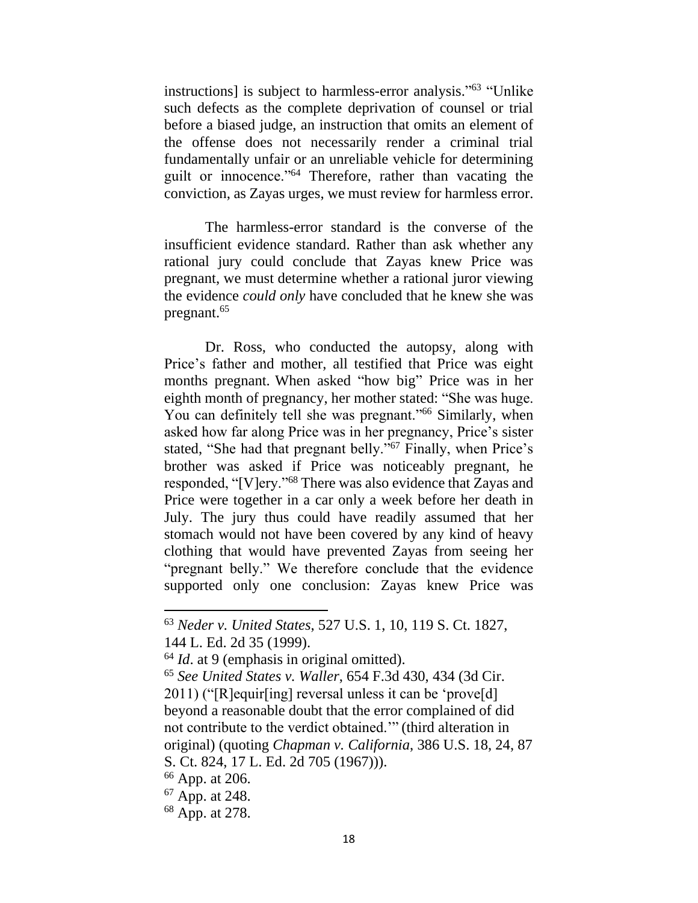instructions] is subject to harmless-error analysis." <sup>63</sup> "Unlike such defects as the complete deprivation of counsel or trial before a biased judge, an instruction that omits an element of the offense does not necessarily render a criminal trial fundamentally unfair or an unreliable vehicle for determining guilt or innocence."<sup>64</sup> Therefore, rather than vacating the conviction, as Zayas urges, we must review for harmless error.

The harmless-error standard is the converse of the insufficient evidence standard. Rather than ask whether any rational jury could conclude that Zayas knew Price was pregnant, we must determine whether a rational juror viewing the evidence *could only* have concluded that he knew she was pregnant. 65

Dr. Ross, who conducted the autopsy, along with Price's father and mother, all testified that Price was eight months pregnant. When asked "how big" Price was in her eighth month of pregnancy, her mother stated: "She was huge. You can definitely tell she was pregnant."<sup>66</sup> Similarly, when asked how far along Price was in her pregnancy, Price's sister stated, "She had that pregnant belly."<sup>67</sup> Finally, when Price's brother was asked if Price was noticeably pregnant, he responded, "[V]ery."<sup>68</sup> There was also evidence that Zayas and Price were together in a car only a week before her death in July. The jury thus could have readily assumed that her stomach would not have been covered by any kind of heavy clothing that would have prevented Zayas from seeing her "pregnant belly." We therefore conclude that the evidence supported only one conclusion: Zayas knew Price was

<sup>65</sup> *See United States v. Waller*, 654 F.3d 430, 434 (3d Cir. 2011) ("[R]equir[ing] reversal unless it can be 'prove[d] beyond a reasonable doubt that the error complained of did not contribute to the verdict obtained.'" (third alteration in original) (quoting *Chapman v. California*, 386 U.S. 18, 24, 87 S. Ct. 824, 17 L. Ed. 2d 705 (1967))).

<sup>63</sup> *Neder v. United States*, 527 U.S. 1, 10, 119 S. Ct. 1827, 144 L. Ed. 2d 35 (1999).

<sup>64</sup> *Id*. at 9 (emphasis in original omitted).

<sup>66</sup> App. at 206.

<sup>67</sup> App. at 248.

<sup>68</sup> App. at 278.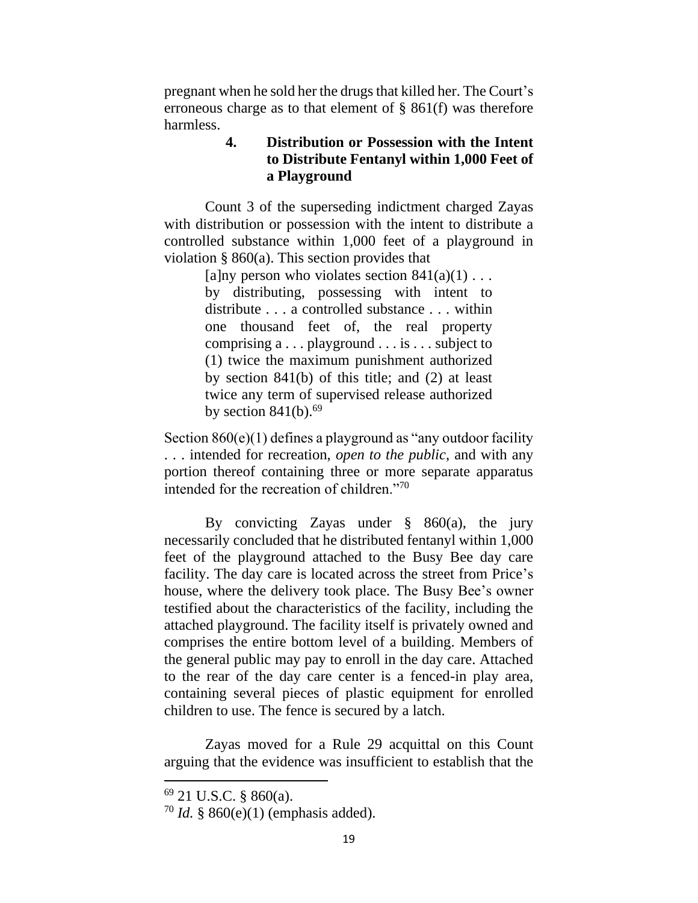pregnant when he sold her the drugs that killed her. The Court's erroneous charge as to that element of § 861(f) was therefore harmless.

# **4. Distribution or Possession with the Intent to Distribute Fentanyl within 1,000 Feet of a Playground**

Count 3 of the superseding indictment charged Zayas with distribution or possession with the intent to distribute a controlled substance within 1,000 feet of a playground in violation § 860(a). This section provides that

> [a]ny person who violates section  $841(a)(1) \ldots$ by distributing, possessing with intent to distribute . . . a controlled substance . . . within one thousand feet of, the real property comprising a . . . playground . . . is . . . subject to (1) twice the maximum punishment authorized by section 841(b) of this title; and (2) at least twice any term of supervised release authorized by section  $841(b)$ .<sup>69</sup>

Section 860(e)(1) defines a playground as "any outdoor facility . . . intended for recreation, *open to the public*, and with any portion thereof containing three or more separate apparatus intended for the recreation of children."<sup>70</sup>

By convicting Zayas under  $\S$  860(a), the jury necessarily concluded that he distributed fentanyl within 1,000 feet of the playground attached to the Busy Bee day care facility. The day care is located across the street from Price's house, where the delivery took place. The Busy Bee's owner testified about the characteristics of the facility, including the attached playground. The facility itself is privately owned and comprises the entire bottom level of a building. Members of the general public may pay to enroll in the day care. Attached to the rear of the day care center is a fenced-in play area, containing several pieces of plastic equipment for enrolled children to use. The fence is secured by a latch.

Zayas moved for a Rule 29 acquittal on this Count arguing that the evidence was insufficient to establish that the

<sup>69</sup> 21 U.S.C. § 860(a).

<sup>70</sup> *Id.* § 860(e)(1) (emphasis added).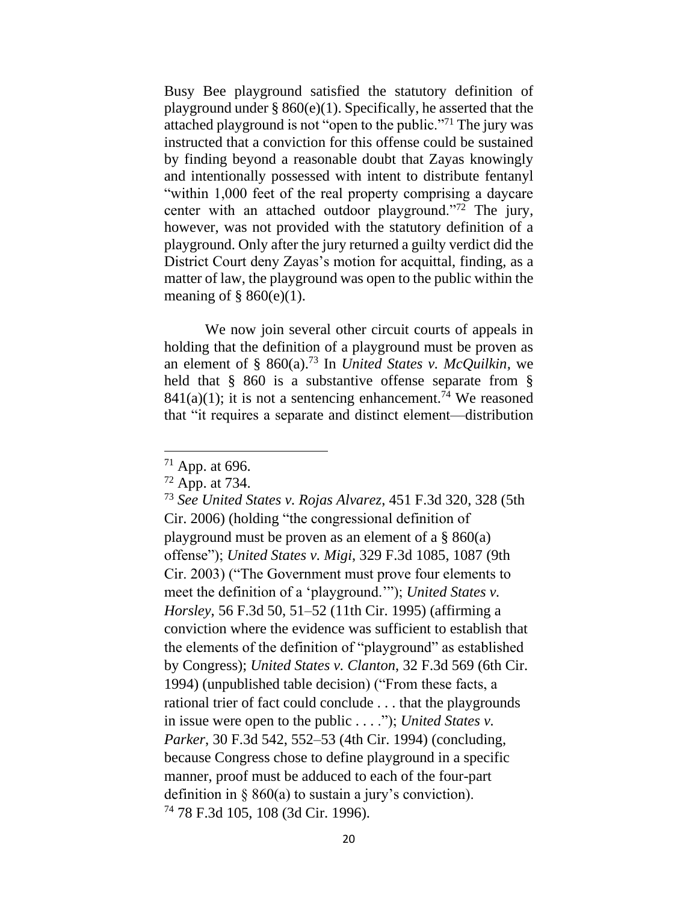Busy Bee playground satisfied the statutory definition of playground under  $\S 860(e)(1)$ . Specifically, he asserted that the attached playground is not "open to the public."<sup>71</sup> The jury was instructed that a conviction for this offense could be sustained by finding beyond a reasonable doubt that Zayas knowingly and intentionally possessed with intent to distribute fentanyl "within 1,000 feet of the real property comprising a daycare center with an attached outdoor playground."<sup>72</sup> The jury, however, was not provided with the statutory definition of a playground. Only after the jury returned a guilty verdict did the District Court deny Zayas's motion for acquittal, finding, as a matter of law, the playground was open to the public within the meaning of  $\S$  860(e)(1).

We now join several other circuit courts of appeals in holding that the definition of a playground must be proven as an element of § 860(a).<sup>73</sup> In *United States v. McQuilkin,* we held that § 860 is a substantive offense separate from §  $841(a)(1)$ ; it is not a sentencing enhancement.<sup>74</sup> We reasoned that "it requires a separate and distinct element—distribution

<sup>71</sup> App. at 696.

<sup>72</sup> App. at 734.

<sup>73</sup> *See United States v. Rojas Alvarez*, 451 F.3d 320, 328 (5th Cir. 2006) (holding "the congressional definition of playground must be proven as an element of a  $\S 860(a)$ offense"); *United States v. Migi*, 329 F.3d 1085, 1087 (9th Cir. 2003) ("The Government must prove four elements to meet the definition of a 'playground.'"); *United States v. Horsley*, 56 F.3d 50, 51–52 (11th Cir. 1995) (affirming a conviction where the evidence was sufficient to establish that the elements of the definition of "playground" as established by Congress); *United States v. Clanton*, 32 F.3d 569 (6th Cir. 1994) (unpublished table decision) ("From these facts, a rational trier of fact could conclude . . . that the playgrounds in issue were open to the public . . . ."); *United States v. Parker*, 30 F.3d 542, 552–53 (4th Cir. 1994) (concluding, because Congress chose to define playground in a specific manner, proof must be adduced to each of the four-part definition in  $\S$  860(a) to sustain a jury's conviction). <sup>74</sup> 78 F.3d 105, 108 (3d Cir. 1996).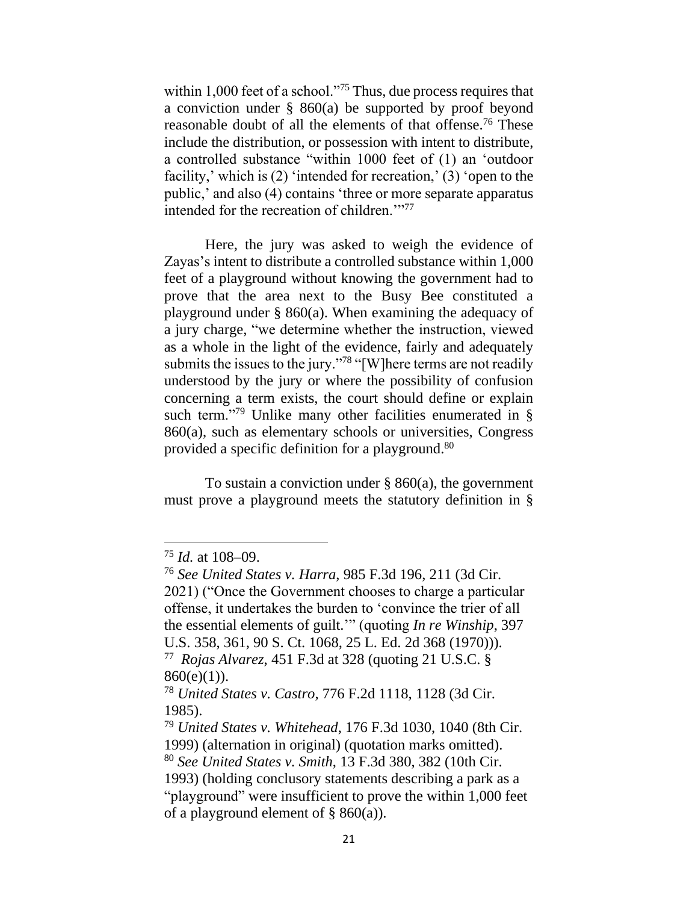within 1,000 feet of a school."<sup>75</sup> Thus, due process requires that a conviction under § 860(a) be supported by proof beyond reasonable doubt of all the elements of that offense. <sup>76</sup> These include the distribution, or possession with intent to distribute, a controlled substance "within 1000 feet of (1) an 'outdoor facility,' which is (2) 'intended for recreation,' (3) 'open to the public,' and also (4) contains 'three or more separate apparatus intended for the recreation of children."<sup>77</sup>

Here, the jury was asked to weigh the evidence of Zayas's intent to distribute a controlled substance within 1,000 feet of a playground without knowing the government had to prove that the area next to the Busy Bee constituted a playground under § 860(a). When examining the adequacy of a jury charge, "we determine whether the instruction, viewed as a whole in the light of the evidence, fairly and adequately submits the issues to the jury."<sup>78</sup> "[W]here terms are not readily understood by the jury or where the possibility of confusion concerning a term exists, the court should define or explain such term."<sup>79</sup> Unlike many other facilities enumerated in § 860(a), such as elementary schools or universities, Congress provided a specific definition for a playground.<sup>80</sup>

To sustain a conviction under  $\S$  860(a), the government must prove a playground meets the statutory definition in §

<sup>75</sup> *Id.* at 108–09.

<sup>76</sup> *See United States v. Harra*, 985 F.3d 196, 211 (3d Cir.

<sup>2021) (&</sup>quot;Once the Government chooses to charge a particular offense, it undertakes the burden to 'convince the trier of all the essential elements of guilt.'" (quoting *In re Winship*, 397 U.S. 358, 361, 90 S. Ct. 1068, 25 L. Ed. 2d 368 (1970))). <sup>77</sup> *Rojas Alvarez*, 451 F.3d at 328 (quoting 21 U.S.C. §

 $860(e)(1)$ ).

<sup>78</sup> *United States v. Castro*, 776 F.2d 1118, 1128 (3d Cir. 1985).

<sup>79</sup> *United States v. Whitehead*, 176 F.3d 1030, 1040 (8th Cir. 1999) (alternation in original) (quotation marks omitted).

<sup>80</sup> *See United States v. Smith*, 13 F.3d 380, 382 (10th Cir.

<sup>1993)</sup> (holding conclusory statements describing a park as a "playground" were insufficient to prove the within 1,000 feet of a playground element of  $\S$  860(a)).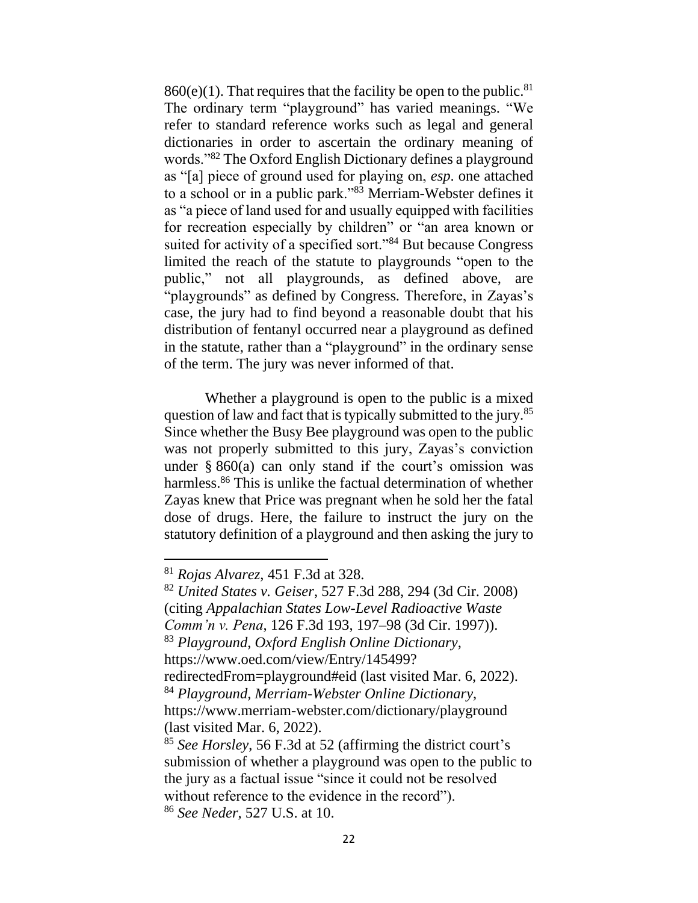$860(e)(1)$ . That requires that the facility be open to the public.<sup>81</sup> The ordinary term "playground" has varied meanings. "We refer to standard reference works such as legal and general dictionaries in order to ascertain the ordinary meaning of words."<sup>82</sup> The Oxford English Dictionary defines a playground as "[a] piece of ground used for playing on, *esp*. one attached to a school or in a public park."<sup>83</sup> Merriam-Webster defines it as "a piece of land used for and usually equipped with facilities for recreation especially by children" or "an area known or suited for activity of a specified sort."<sup>84</sup> But because Congress limited the reach of the statute to playgrounds "open to the public," not all playgrounds, as defined above, are "playgrounds" as defined by Congress. Therefore, in Zayas's case, the jury had to find beyond a reasonable doubt that his distribution of fentanyl occurred near a playground as defined in the statute, rather than a "playground" in the ordinary sense of the term. The jury was never informed of that.

Whether a playground is open to the public is a mixed question of law and fact that is typically submitted to the jury.<sup>85</sup> Since whether the Busy Bee playground was open to the public was not properly submitted to this jury, Zayas's conviction under  $\S 860(a)$  can only stand if the court's omission was harmless.<sup>86</sup> This is unlike the factual determination of whether Zayas knew that Price was pregnant when he sold her the fatal dose of drugs. Here, the failure to instruct the jury on the statutory definition of a playground and then asking the jury to

<sup>81</sup> *Rojas Alvarez*, 451 F.3d at 328.

<sup>82</sup> *United States v. Geiser*, 527 F.3d 288, 294 (3d Cir. 2008) (citing *Appalachian States Low-Level Radioactive Waste Comm'n v. Pena*, 126 F.3d 193, 197–98 (3d Cir. 1997)). <sup>83</sup> *Playground*, *Oxford English Online Dictionary*, https://www.oed.com/view/Entry/145499? redirectedFrom=playground#eid (last visited Mar. 6, 2022). <sup>84</sup> *Playground, Merriam-Webster Online Dictionary*, https://www.merriam-webster.com/dictionary/playground (last visited Mar. 6, 2022). <sup>85</sup> *See Horsley*, 56 F.3d at 52 (affirming the district court's

submission of whether a playground was open to the public to the jury as a factual issue "since it could not be resolved without reference to the evidence in the record"). <sup>86</sup> *See Neder*, 527 U.S. at 10.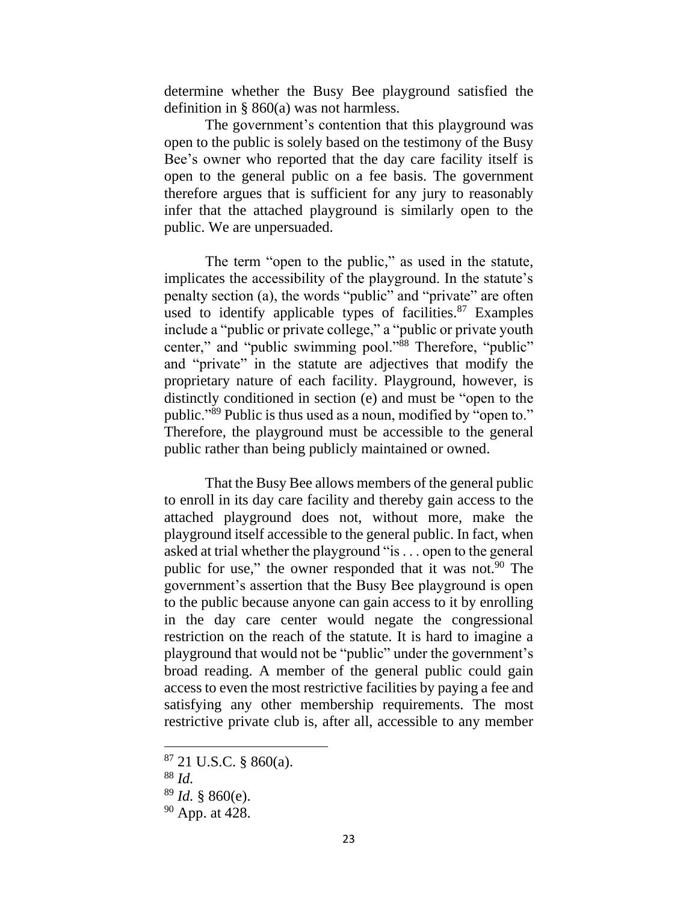determine whether the Busy Bee playground satisfied the definition in § 860(a) was not harmless.

The government's contention that this playground was open to the public is solely based on the testimony of the Busy Bee's owner who reported that the day care facility itself is open to the general public on a fee basis. The government therefore argues that is sufficient for any jury to reasonably infer that the attached playground is similarly open to the public. We are unpersuaded.

The term "open to the public," as used in the statute, implicates the accessibility of the playground. In the statute's penalty section (a), the words "public" and "private" are often used to identify applicable types of facilities.<sup>87</sup> Examples include a "public or private college," a "public or private youth center," and "public swimming pool."<sup>88</sup> Therefore, "public" and "private" in the statute are adjectives that modify the proprietary nature of each facility. Playground, however, is distinctly conditioned in section (e) and must be "open to the public."<sup>89</sup> Public is thus used as a noun, modified by "open to." Therefore, the playground must be accessible to the general public rather than being publicly maintained or owned.

That the Busy Bee allows members of the general public to enroll in its day care facility and thereby gain access to the attached playground does not, without more, make the playground itself accessible to the general public. In fact, when asked at trial whether the playground "is . . . open to the general public for use," the owner responded that it was not.<sup>90</sup> The government's assertion that the Busy Bee playground is open to the public because anyone can gain access to it by enrolling in the day care center would negate the congressional restriction on the reach of the statute. It is hard to imagine a playground that would not be "public" under the government's broad reading. A member of the general public could gain access to even the most restrictive facilities by paying a fee and satisfying any other membership requirements. The most restrictive private club is, after all, accessible to any member

<sup>87</sup> 21 U.S.C. § 860(a).

<sup>88</sup> *Id.*

<sup>89</sup> *Id.* § 860(e).

<sup>90</sup> App. at 428.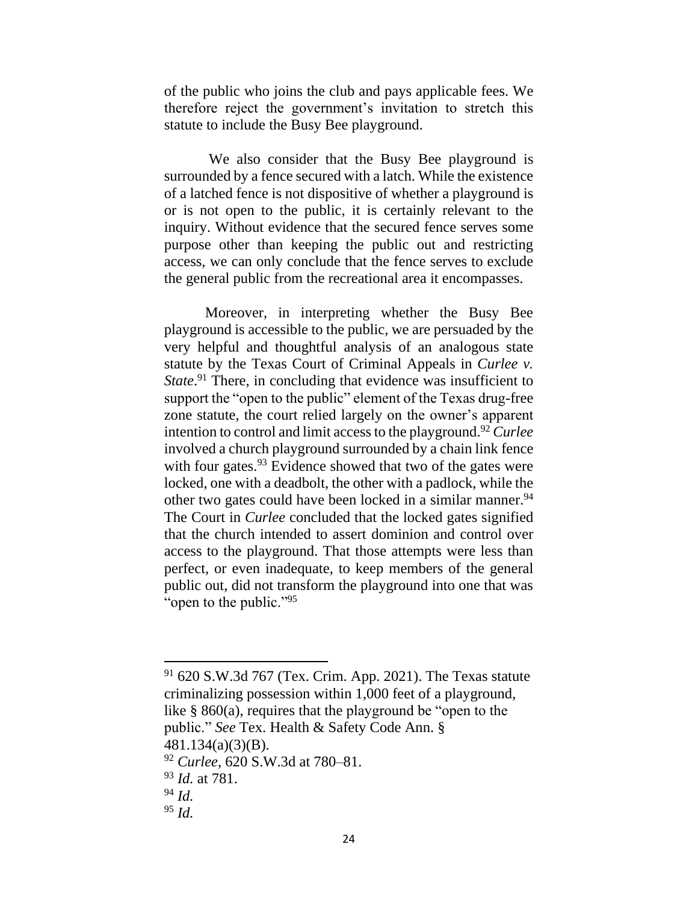of the public who joins the club and pays applicable fees. We therefore reject the government's invitation to stretch this statute to include the Busy Bee playground.

We also consider that the Busy Bee playground is surrounded by a fence secured with a latch. While the existence of a latched fence is not dispositive of whether a playground is or is not open to the public, it is certainly relevant to the inquiry. Without evidence that the secured fence serves some purpose other than keeping the public out and restricting access, we can only conclude that the fence serves to exclude the general public from the recreational area it encompasses.

Moreover, in interpreting whether the Busy Bee playground is accessible to the public, we are persuaded by the very helpful and thoughtful analysis of an analogous state statute by the Texas Court of Criminal Appeals in *Curlee v.* State.<sup>91</sup> There, in concluding that evidence was insufficient to support the "open to the public" element of the Texas drug-free zone statute, the court relied largely on the owner's apparent intention to control and limit access to the playground.<sup>92</sup> *Curlee* involved a church playground surrounded by a chain link fence with four gates.<sup>93</sup> Evidence showed that two of the gates were locked, one with a deadbolt, the other with a padlock, while the other two gates could have been locked in a similar manner.<sup>94</sup> The Court in *Curlee* concluded that the locked gates signified that the church intended to assert dominion and control over access to the playground. That those attempts were less than perfect, or even inadequate, to keep members of the general public out, did not transform the playground into one that was "open to the public."<sup>95</sup>

<sup>93</sup> *Id.* at 781.

<sup>91</sup> 620 S.W.3d 767 (Tex. Crim. App. 2021). The Texas statute criminalizing possession within 1,000 feet of a playground, like § 860(a), requires that the playground be "open to the public." *See* Tex. Health & Safety Code Ann. §

<sup>481.134(</sup>a)(3)(B).

<sup>92</sup> *Curlee*, 620 S.W.3d at 780–81.

<sup>94</sup> *Id.*

<sup>95</sup> *Id.*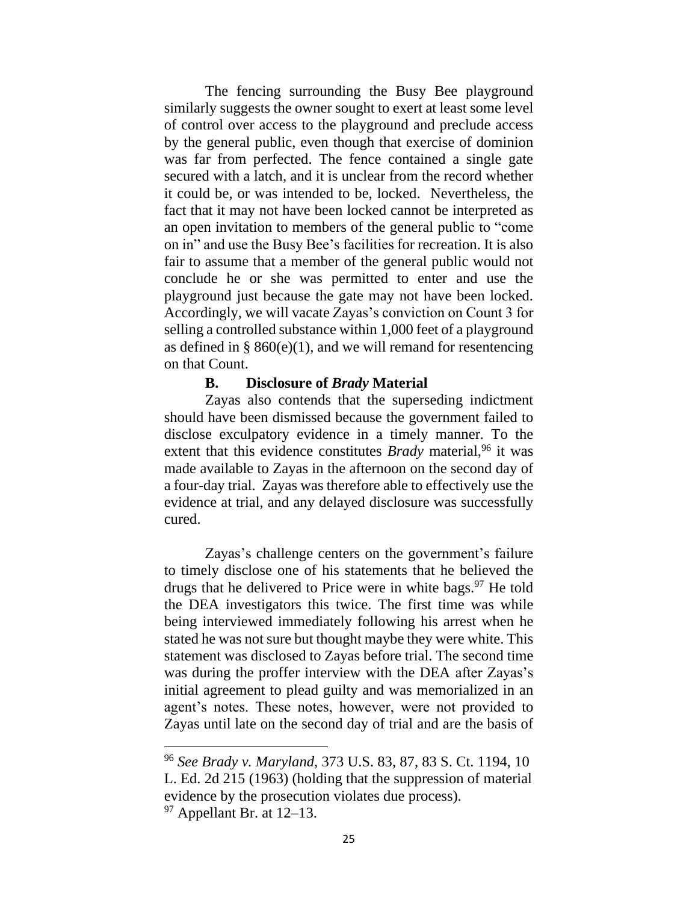The fencing surrounding the Busy Bee playground similarly suggests the owner sought to exert at least some level of control over access to the playground and preclude access by the general public, even though that exercise of dominion was far from perfected. The fence contained a single gate secured with a latch, and it is unclear from the record whether it could be, or was intended to be, locked. Nevertheless, the fact that it may not have been locked cannot be interpreted as an open invitation to members of the general public to "come on in" and use the Busy Bee's facilities for recreation. It is also fair to assume that a member of the general public would not conclude he or she was permitted to enter and use the playground just because the gate may not have been locked. Accordingly, we will vacate Zayas's conviction on Count 3 for selling a controlled substance within 1,000 feet of a playground as defined in  $\S 860(e)(1)$ , and we will remand for resentencing on that Count.

### **B. Disclosure of** *Brady* **Material**

Zayas also contends that the superseding indictment should have been dismissed because the government failed to disclose exculpatory evidence in a timely manner. To the extent that this evidence constitutes *Brady* material,<sup>96</sup> it was made available to Zayas in the afternoon on the second day of a four-day trial. Zayas was therefore able to effectively use the evidence at trial, and any delayed disclosure was successfully cured.

Zayas's challenge centers on the government's failure to timely disclose one of his statements that he believed the drugs that he delivered to Price were in white bags. <sup>97</sup> He told the DEA investigators this twice. The first time was while being interviewed immediately following his arrest when he stated he was not sure but thought maybe they were white. This statement was disclosed to Zayas before trial. The second time was during the proffer interview with the DEA after Zayas's initial agreement to plead guilty and was memorialized in an agent's notes. These notes, however, were not provided to Zayas until late on the second day of trial and are the basis of

<sup>96</sup> *See Brady v. Maryland*, 373 U.S. 83, 87, 83 S. Ct. 1194, 10 L. Ed. 2d 215 (1963) (holding that the suppression of material evidence by the prosecution violates due process).

<sup>97</sup> Appellant Br. at 12–13.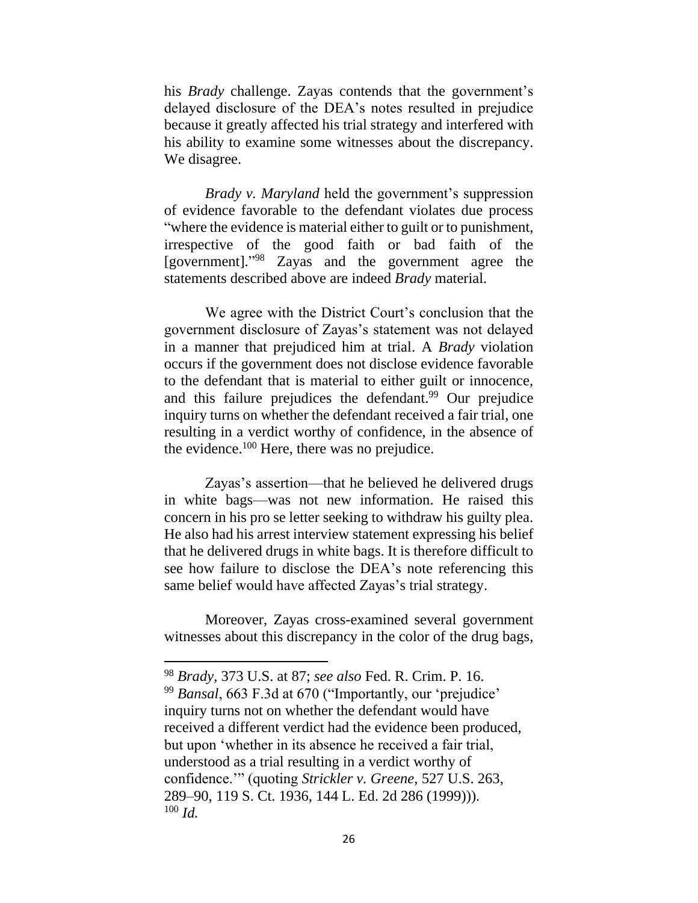his *Brady* challenge. Zayas contends that the government's delayed disclosure of the DEA's notes resulted in prejudice because it greatly affected his trial strategy and interfered with his ability to examine some witnesses about the discrepancy. We disagree.

*Brady v. Maryland* held the government's suppression of evidence favorable to the defendant violates due process "where the evidence is material either to guilt or to punishment, irrespective of the good faith or bad faith of the [government]." <sup>98</sup> Zayas and the government agree the statements described above are indeed *Brady* material.

We agree with the District Court's conclusion that the government disclosure of Zayas's statement was not delayed in a manner that prejudiced him at trial. A *Brady* violation occurs if the government does not disclose evidence favorable to the defendant that is material to either guilt or innocence, and this failure prejudices the defendant. <sup>99</sup> Our prejudice inquiry turns on whether the defendant received a fair trial, one resulting in a verdict worthy of confidence, in the absence of the evidence.<sup>100</sup> Here, there was no prejudice.

Zayas's assertion—that he believed he delivered drugs in white bags—was not new information. He raised this concern in his pro se letter seeking to withdraw his guilty plea. He also had his arrest interview statement expressing his belief that he delivered drugs in white bags. It is therefore difficult to see how failure to disclose the DEA's note referencing this same belief would have affected Zayas's trial strategy.

Moreover, Zayas cross-examined several government witnesses about this discrepancy in the color of the drug bags,

<sup>98</sup> *Brady*, 373 U.S. at 87; *see also* Fed. R. Crim. P. 16.

<sup>99</sup> *Bansal*, 663 F.3d at 670 ("Importantly, our 'prejudice' inquiry turns not on whether the defendant would have received a different verdict had the evidence been produced, but upon 'whether in its absence he received a fair trial, understood as a trial resulting in a verdict worthy of confidence.'" (quoting *Strickler v. Greene*, 527 U.S. 263, 289–90, 119 S. Ct. 1936, 144 L. Ed. 2d 286 (1999))). <sup>100</sup> *Id.*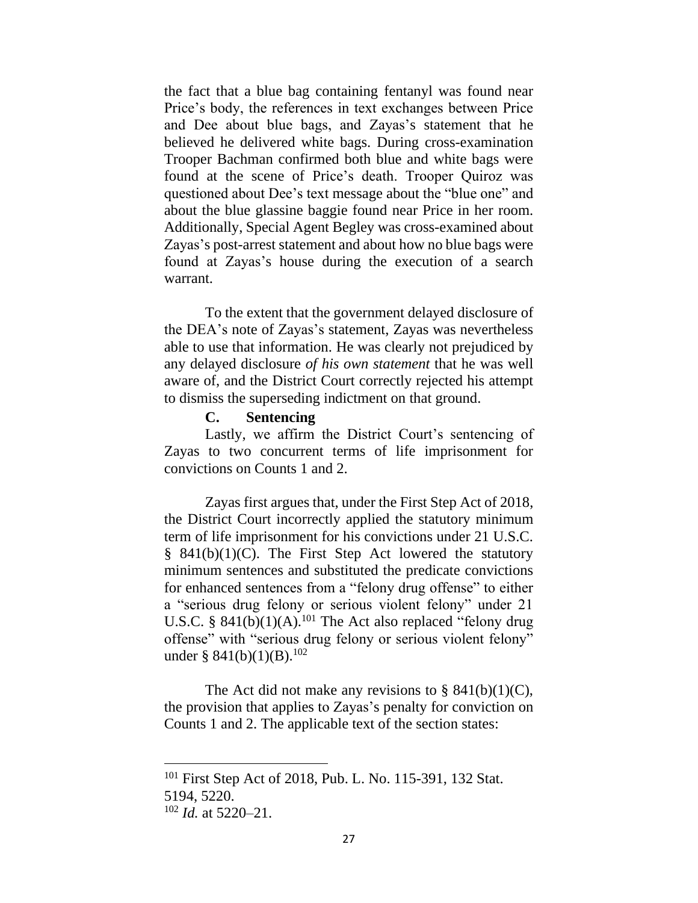the fact that a blue bag containing fentanyl was found near Price's body, the references in text exchanges between Price and Dee about blue bags, and Zayas's statement that he believed he delivered white bags. During cross-examination Trooper Bachman confirmed both blue and white bags were found at the scene of Price's death. Trooper Quiroz was questioned about Dee's text message about the "blue one" and about the blue glassine baggie found near Price in her room. Additionally, Special Agent Begley was cross-examined about Zayas's post-arrest statement and about how no blue bags were found at Zayas's house during the execution of a search warrant.

To the extent that the government delayed disclosure of the DEA's note of Zayas's statement, Zayas was nevertheless able to use that information. He was clearly not prejudiced by any delayed disclosure *of his own statement* that he was well aware of, and the District Court correctly rejected his attempt to dismiss the superseding indictment on that ground.

#### **C. Sentencing**

Lastly, we affirm the District Court's sentencing of Zayas to two concurrent terms of life imprisonment for convictions on Counts 1 and 2.

Zayas first argues that, under the First Step Act of 2018, the District Court incorrectly applied the statutory minimum term of life imprisonment for his convictions under 21 U.S.C.  $§$  841(b)(1)(C). The First Step Act lowered the statutory minimum sentences and substituted the predicate convictions for enhanced sentences from a "felony drug offense" to either a "serious drug felony or serious violent felony" under 21 U.S.C. §  $841(b)(1)(A)$ .<sup>101</sup> The Act also replaced "felony drug offense" with "serious drug felony or serious violent felony" under § 841(b)(1)(B).<sup>102</sup>

The Act did not make any revisions to  $\S$  841(b)(1)(C), the provision that applies to Zayas's penalty for conviction on Counts 1 and 2. The applicable text of the section states:

<sup>101</sup> First Step Act of 2018, Pub. L. No. 115-391, 132 Stat. 5194, 5220. <sup>102</sup> *Id.* at 5220–21.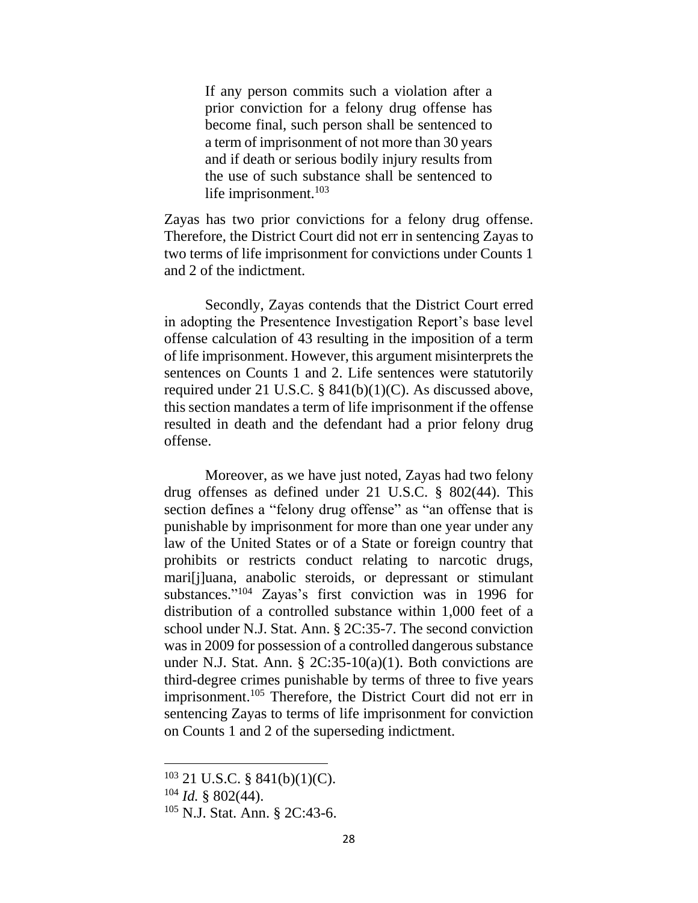If any person commits such a violation after a prior conviction for a felony drug offense has become final, such person shall be sentenced to a term of imprisonment of not more than 30 years and if death or serious bodily injury results from the use of such substance shall be sentenced to life imprisonment.<sup>103</sup>

Zayas has two prior convictions for a felony drug offense. Therefore, the District Court did not err in sentencing Zayas to two terms of life imprisonment for convictions under Counts 1 and 2 of the indictment.

Secondly, Zayas contends that the District Court erred in adopting the Presentence Investigation Report's base level offense calculation of 43 resulting in the imposition of a term of life imprisonment. However, this argument misinterprets the sentences on Counts 1 and 2. Life sentences were statutorily required under 21 U.S.C. § 841(b)(1)(C). As discussed above, this section mandates a term of life imprisonment if the offense resulted in death and the defendant had a prior felony drug offense.

Moreover, as we have just noted, Zayas had two felony drug offenses as defined under 21 U.S.C. § 802(44). This section defines a "felony drug offense" as "an offense that is punishable by imprisonment for more than one year under any law of the United States or of a State or foreign country that prohibits or restricts conduct relating to narcotic drugs, mari[j]uana, anabolic steroids, or depressant or stimulant substances."<sup>104</sup> Zayas's first conviction was in 1996 for distribution of a controlled substance within 1,000 feet of a school under N.J. Stat. Ann. § 2C:35-7. The second conviction was in 2009 for possession of a controlled dangerous substance under N.J. Stat. Ann. §  $2C:35-10(a)(1)$ . Both convictions are third-degree crimes punishable by terms of three to five years imprisonment.<sup>105</sup> Therefore, the District Court did not err in sentencing Zayas to terms of life imprisonment for conviction on Counts 1 and 2 of the superseding indictment.

 $103$  21 U.S.C. § 841(b)(1)(C).

 $104$  *Id.* § 802(44).

<sup>105</sup> N.J. Stat. Ann. § 2C:43-6.